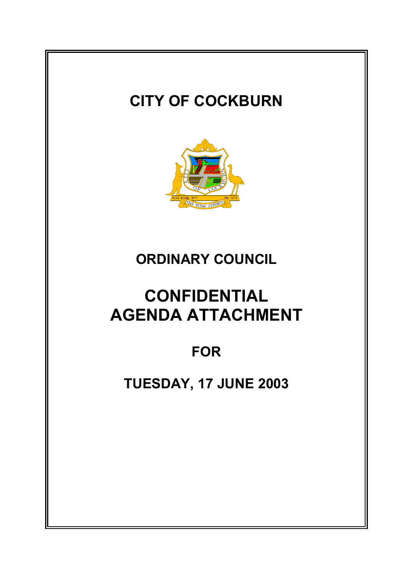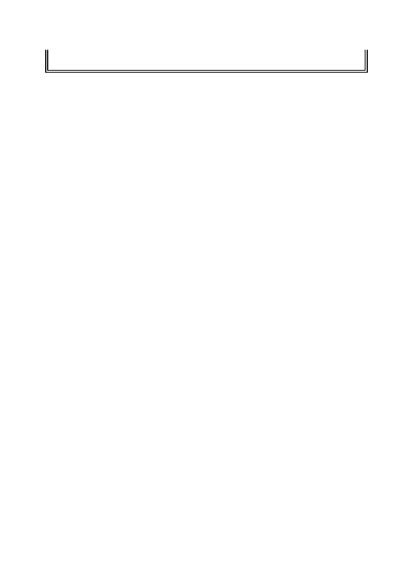$\begin{array}{c} \hline \end{array}$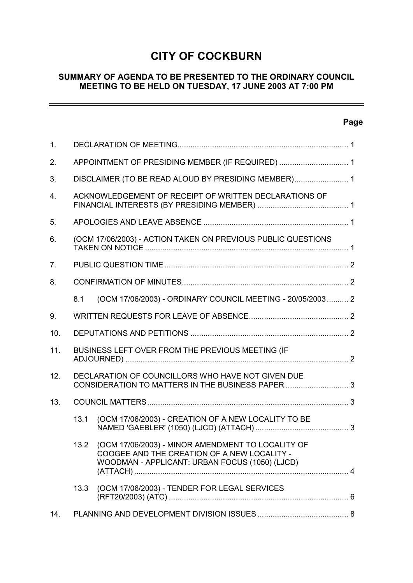# **CITY OF COCKBURN**

# **SUMMARY OF AGENDA TO BE PRESENTED TO THE ORDINARY COUNCIL MEETING TO BE HELD ON TUESDAY, 17 JUNE 2003 AT 7:00 PM**

# **Page**

| $\mathbf{1}$ . |                                                              |                                                                                                                                                         |
|----------------|--------------------------------------------------------------|---------------------------------------------------------------------------------------------------------------------------------------------------------|
| 2.             |                                                              | APPOINTMENT OF PRESIDING MEMBER (IF REQUIRED)  1                                                                                                        |
| 3.             | DISCLAIMER (TO BE READ ALOUD BY PRESIDING MEMBER) 1          |                                                                                                                                                         |
| 4.             | ACKNOWLEDGEMENT OF RECEIPT OF WRITTEN DECLARATIONS OF        |                                                                                                                                                         |
| 5.             |                                                              |                                                                                                                                                         |
| 6.             | (OCM 17/06/2003) - ACTION TAKEN ON PREVIOUS PUBLIC QUESTIONS |                                                                                                                                                         |
| 7 <sub>1</sub> |                                                              |                                                                                                                                                         |
| 8.             |                                                              |                                                                                                                                                         |
|                | 8.1                                                          | (OCM 17/06/2003) - ORDINARY COUNCIL MEETING - 20/05/2003 2                                                                                              |
| 9.             |                                                              |                                                                                                                                                         |
| 10.            |                                                              |                                                                                                                                                         |
| 11.            |                                                              | BUSINESS LEFT OVER FROM THE PREVIOUS MEETING (IF                                                                                                        |
| 12.            |                                                              | DECLARATION OF COUNCILLORS WHO HAVE NOT GIVEN DUE<br>CONSIDERATION TO MATTERS IN THE BUSINESS PAPER  3                                                  |
| 13.            |                                                              |                                                                                                                                                         |
|                | 13.1                                                         | (OCM 17/06/2003) - CREATION OF A NEW LOCALITY TO BE                                                                                                     |
|                |                                                              | 13.2 (OCM 17/06/2003) - MINOR AMENDMENT TO LOCALITY OF<br>COOGEE AND THE CREATION OF A NEW LOCALITY -<br>WOODMAN - APPLICANT: URBAN FOCUS (1050) (LJCD) |
|                | 13.3                                                         | (OCM 17/06/2003) - TENDER FOR LEGAL SERVICES                                                                                                            |
| 14.            |                                                              |                                                                                                                                                         |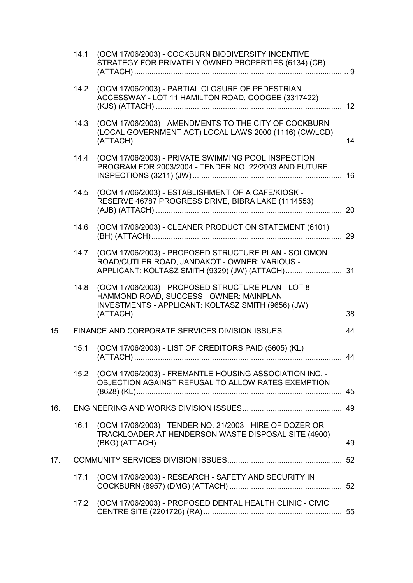|     | 14.1 | (OCM 17/06/2003) - COCKBURN BIODIVERSITY INCENTIVE<br>STRATEGY FOR PRIVATELY OWNED PROPERTIES (6134) (CB)                                                 |  |
|-----|------|-----------------------------------------------------------------------------------------------------------------------------------------------------------|--|
|     | 14.2 | (OCM 17/06/2003) - PARTIAL CLOSURE OF PEDESTRIAN<br>ACCESSWAY - LOT 11 HAMILTON ROAD, COOGEE (3317422)                                                    |  |
|     | 14.3 | (OCM 17/06/2003) - AMENDMENTS TO THE CITY OF COCKBURN<br>(LOCAL GOVERNMENT ACT) LOCAL LAWS 2000 (1116) (CW/LCD)                                           |  |
|     | 14.4 | (OCM 17/06/2003) - PRIVATE SWIMMING POOL INSPECTION<br>PROGRAM FOR 2003/2004 - TENDER NO. 22/2003 AND FUTURE                                              |  |
|     | 14.5 | (OCM 17/06/2003) - ESTABLISHMENT OF A CAFE/KIOSK -<br>RESERVE 46787 PROGRESS DRIVE, BIBRA LAKE (1114553)                                                  |  |
|     | 14.6 | (OCM 17/06/2003) - CLEANER PRODUCTION STATEMENT (6101)                                                                                                    |  |
|     | 14.7 | (OCM 17/06/2003) - PROPOSED STRUCTURE PLAN - SOLOMON<br>ROAD/CUTLER ROAD, JANDAKOT - OWNER: VARIOUS -<br>APPLICANT: KOLTASZ SMITH (9329) (JW) (ATTACH) 31 |  |
|     | 14.8 | (OCM 17/06/2003) - PROPOSED STRUCTURE PLAN - LOT 8<br>HAMMOND ROAD, SUCCESS - OWNER: MAINPLAN<br>INVESTMENTS - APPLICANT: KOLTASZ SMITH (9656) (JW)       |  |
| 15. |      | FINANCE AND CORPORATE SERVICES DIVISION ISSUES  44                                                                                                        |  |
|     | 15.1 | (OCM 17/06/2003) - LIST OF CREDITORS PAID (5605) (KL)                                                                                                     |  |
|     | 15.2 | (OCM 17/06/2003) - FREMANTLE HOUSING ASSOCIATION INC. -<br>OBJECTION AGAINST REFUSAL TO ALLOW RATES EXEMPTION                                             |  |
| 16. |      |                                                                                                                                                           |  |
|     | 16.1 | (OCM 17/06/2003) - TENDER NO. 21/2003 - HIRE OF DOZER OR<br>TRACKLOADER AT HENDERSON WASTE DISPOSAL SITE (4900)                                           |  |
| 17. |      |                                                                                                                                                           |  |
|     | 17.1 | (OCM 17/06/2003) - RESEARCH - SAFETY AND SECURITY IN                                                                                                      |  |
|     | 17.2 | (OCM 17/06/2003) - PROPOSED DENTAL HEALTH CLINIC - CIVIC                                                                                                  |  |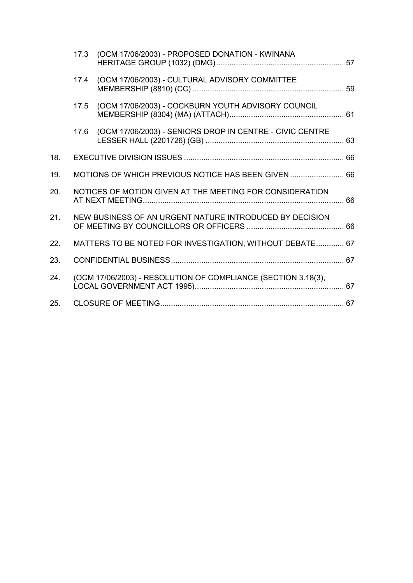|     | 17.3 | (OCM 17/06/2003) - PROPOSED DONATION - KWINANA                |  |
|-----|------|---------------------------------------------------------------|--|
|     |      | 17.4 (OCM 17/06/2003) - CULTURAL ADVISORY COMMITTEE           |  |
|     | 17.5 | (OCM 17/06/2003) - COCKBURN YOUTH ADVISORY COUNCIL            |  |
|     | 17.6 | (OCM 17/06/2003) - SENIORS DROP IN CENTRE - CIVIC CENTRE      |  |
| 18. |      |                                                               |  |
| 19. |      | MOTIONS OF WHICH PREVIOUS NOTICE HAS BEEN GIVEN  66           |  |
| 20. |      | NOTICES OF MOTION GIVEN AT THE MEETING FOR CONSIDERATION      |  |
| 21. |      | NEW BUSINESS OF AN URGENT NATURE INTRODUCED BY DECISION       |  |
| 22. |      | MATTERS TO BE NOTED FOR INVESTIGATION, WITHOUT DEBATE 67      |  |
| 23. |      |                                                               |  |
| 24. |      | (OCM 17/06/2003) - RESOLUTION OF COMPLIANCE (SECTION 3.18(3), |  |
| 25. |      |                                                               |  |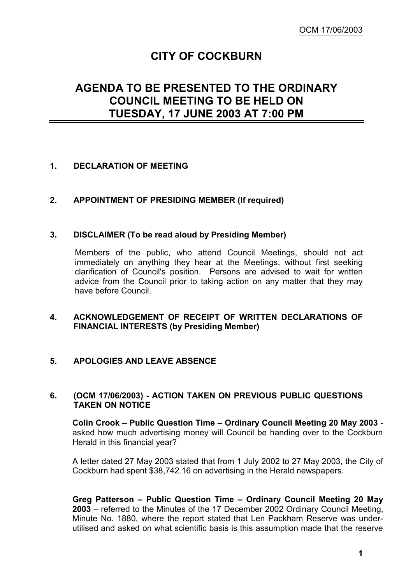# **CITY OF COCKBURN**

# **AGENDA TO BE PRESENTED TO THE ORDINARY COUNCIL MEETING TO BE HELD ON TUESDAY, 17 JUNE 2003 AT 7:00 PM**

# **1. DECLARATION OF MEETING**

# **2. APPOINTMENT OF PRESIDING MEMBER (If required)**

### **3. DISCLAIMER (To be read aloud by Presiding Member)**

Members of the public, who attend Council Meetings, should not act immediately on anything they hear at the Meetings, without first seeking clarification of Council's position. Persons are advised to wait for written advice from the Council prior to taking action on any matter that they may have before Council.

# **4. ACKNOWLEDGEMENT OF RECEIPT OF WRITTEN DECLARATIONS OF FINANCIAL INTERESTS (by Presiding Member)**

### **5. APOLOGIES AND LEAVE ABSENCE**

#### **6. (OCM 17/06/2003) - ACTION TAKEN ON PREVIOUS PUBLIC QUESTIONS TAKEN ON NOTICE**

**Colin Crook – Public Question Time – Ordinary Council Meeting 20 May 2003**  asked how much advertising money will Council be handing over to the Cockburn Herald in this financial year?

A letter dated 27 May 2003 stated that from 1 July 2002 to 27 May 2003, the City of Cockburn had spent \$38,742.16 on advertising in the Herald newspapers.

**Greg Patterson – Public Question Time – Ordinary Council Meeting 20 May 2003** – referred to the Minutes of the 17 December 2002 Ordinary Council Meeting, Minute No. 1880, where the report stated that Len Packham Reserve was underutilised and asked on what scientific basis is this assumption made that the reserve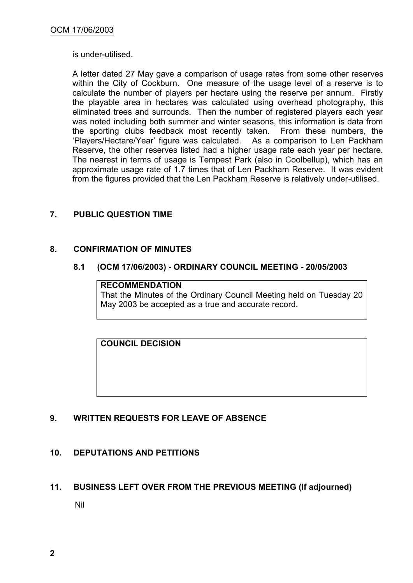is under-utilised.

A letter dated 27 May gave a comparison of usage rates from some other reserves within the City of Cockburn. One measure of the usage level of a reserve is to calculate the number of players per hectare using the reserve per annum. Firstly the playable area in hectares was calculated using overhead photography, this eliminated trees and surrounds. Then the number of registered players each year was noted including both summer and winter seasons, this information is data from the sporting clubs feedback most recently taken. From these numbers, the "Players/Hectare/Year" figure was calculated. As a comparison to Len Packham Reserve, the other reserves listed had a higher usage rate each year per hectare. The nearest in terms of usage is Tempest Park (also in Coolbellup), which has an approximate usage rate of 1.7 times that of Len Packham Reserve. It was evident from the figures provided that the Len Packham Reserve is relatively under-utilised.

# **7. PUBLIC QUESTION TIME**

### **8. CONFIRMATION OF MINUTES**

# **8.1 (OCM 17/06/2003) - ORDINARY COUNCIL MEETING - 20/05/2003**

# **RECOMMENDATION**

That the Minutes of the Ordinary Council Meeting held on Tuesday 20 May 2003 be accepted as a true and accurate record.

# **COUNCIL DECISION**

# **9. WRITTEN REQUESTS FOR LEAVE OF ABSENCE**

# **10. DEPUTATIONS AND PETITIONS**

# **11. BUSINESS LEFT OVER FROM THE PREVIOUS MEETING (If adjourned)**

Nil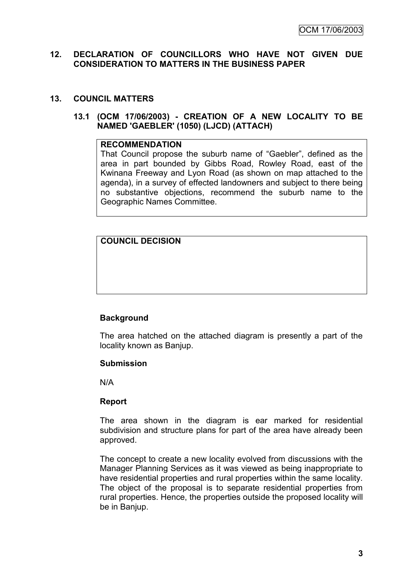### **12. DECLARATION OF COUNCILLORS WHO HAVE NOT GIVEN DUE CONSIDERATION TO MATTERS IN THE BUSINESS PAPER**

### **13. COUNCIL MATTERS**

### **13.1 (OCM 17/06/2003) - CREATION OF A NEW LOCALITY TO BE NAMED 'GAEBLER' (1050) (LJCD) (ATTACH)**

#### **RECOMMENDATION**

That Council propose the suburb name of "Gaebler", defined as the area in part bounded by Gibbs Road, Rowley Road, east of the Kwinana Freeway and Lyon Road (as shown on map attached to the agenda), in a survey of effected landowners and subject to there being no substantive objections, recommend the suburb name to the Geographic Names Committee.

**COUNCIL DECISION**

# **Background**

The area hatched on the attached diagram is presently a part of the locality known as Banjup.

#### **Submission**

N/A

### **Report**

The area shown in the diagram is ear marked for residential subdivision and structure plans for part of the area have already been approved.

The concept to create a new locality evolved from discussions with the Manager Planning Services as it was viewed as being inappropriate to have residential properties and rural properties within the same locality. The object of the proposal is to separate residential properties from rural properties. Hence, the properties outside the proposed locality will be in Banjup.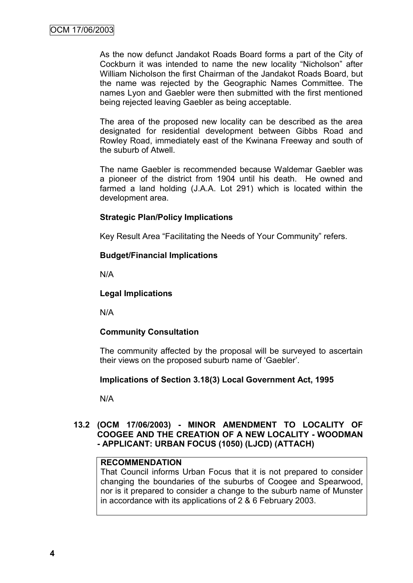As the now defunct Jandakot Roads Board forms a part of the City of Cockburn it was intended to name the new locality "Nicholson" after William Nicholson the first Chairman of the Jandakot Roads Board, but the name was rejected by the Geographic Names Committee. The names Lyon and Gaebler were then submitted with the first mentioned being rejected leaving Gaebler as being acceptable.

The area of the proposed new locality can be described as the area designated for residential development between Gibbs Road and Rowley Road, immediately east of the Kwinana Freeway and south of the suburb of Atwell.

The name Gaebler is recommended because Waldemar Gaebler was a pioneer of the district from 1904 until his death. He owned and farmed a land holding (J.A.A. Lot 291) which is located within the development area.

#### **Strategic Plan/Policy Implications**

Key Result Area "Facilitating the Needs of Your Community" refers.

#### **Budget/Financial Implications**

N/A

### **Legal Implications**

N/A

### **Community Consultation**

The community affected by the proposal will be surveyed to ascertain their views on the proposed suburb name of "Gaebler".

### **Implications of Section 3.18(3) Local Government Act, 1995**

N/A

### **13.2 (OCM 17/06/2003) - MINOR AMENDMENT TO LOCALITY OF COOGEE AND THE CREATION OF A NEW LOCALITY - WOODMAN - APPLICANT: URBAN FOCUS (1050) (LJCD) (ATTACH)**

# **RECOMMENDATION**

That Council informs Urban Focus that it is not prepared to consider changing the boundaries of the suburbs of Coogee and Spearwood, nor is it prepared to consider a change to the suburb name of Munster in accordance with its applications of 2 & 6 February 2003.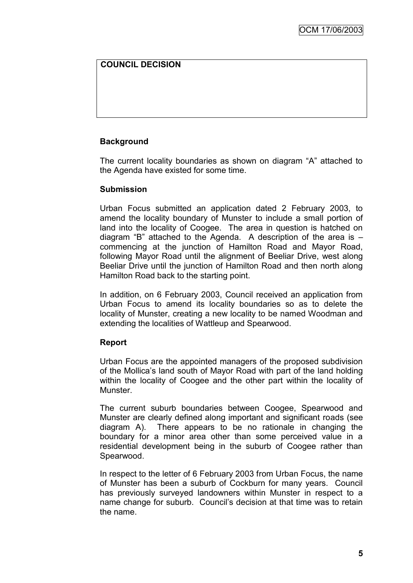# **COUNCIL DECISION**

# **Background**

The current locality boundaries as shown on diagram "A" attached to the Agenda have existed for some time.

### **Submission**

Urban Focus submitted an application dated 2 February 2003, to amend the locality boundary of Munster to include a small portion of land into the locality of Coogee. The area in question is hatched on diagram "B" attached to the Agenda. A description of the area is – commencing at the junction of Hamilton Road and Mayor Road, following Mayor Road until the alignment of Beeliar Drive, west along Beeliar Drive until the junction of Hamilton Road and then north along Hamilton Road back to the starting point.

In addition, on 6 February 2003, Council received an application from Urban Focus to amend its locality boundaries so as to delete the locality of Munster, creating a new locality to be named Woodman and extending the localities of Wattleup and Spearwood.

### **Report**

Urban Focus are the appointed managers of the proposed subdivision of the Mollica"s land south of Mayor Road with part of the land holding within the locality of Coogee and the other part within the locality of Munster.

The current suburb boundaries between Coogee, Spearwood and Munster are clearly defined along important and significant roads (see diagram A). There appears to be no rationale in changing the boundary for a minor area other than some perceived value in a residential development being in the suburb of Coogee rather than Spearwood.

In respect to the letter of 6 February 2003 from Urban Focus, the name of Munster has been a suburb of Cockburn for many years. Council has previously surveyed landowners within Munster in respect to a name change for suburb. Council"s decision at that time was to retain the name.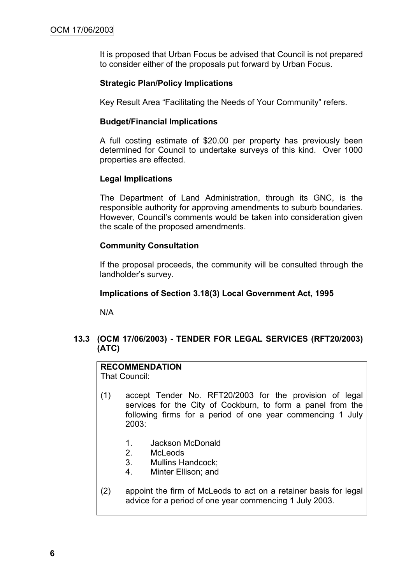It is proposed that Urban Focus be advised that Council is not prepared to consider either of the proposals put forward by Urban Focus.

# **Strategic Plan/Policy Implications**

Key Result Area "Facilitating the Needs of Your Community" refers.

### **Budget/Financial Implications**

A full costing estimate of \$20.00 per property has previously been determined for Council to undertake surveys of this kind. Over 1000 properties are effected.

# **Legal Implications**

The Department of Land Administration, through its GNC, is the responsible authority for approving amendments to suburb boundaries. However, Council"s comments would be taken into consideration given the scale of the proposed amendments.

# **Community Consultation**

If the proposal proceeds, the community will be consulted through the landholder's survey.

### **Implications of Section 3.18(3) Local Government Act, 1995**

N/A

# **13.3 (OCM 17/06/2003) - TENDER FOR LEGAL SERVICES (RFT20/2003) (ATC)**

# **RECOMMENDATION**

That Council:

- (1) accept Tender No. RFT20/2003 for the provision of legal services for the City of Cockburn, to form a panel from the following firms for a period of one year commencing 1 July 2003:
	- 1. Jackson McDonald
	- 2. McLeods
	- 3. Mullins Handcock;
	- 4. Minter Ellison; and
- (2) appoint the firm of McLeods to act on a retainer basis for legal advice for a period of one year commencing 1 July 2003.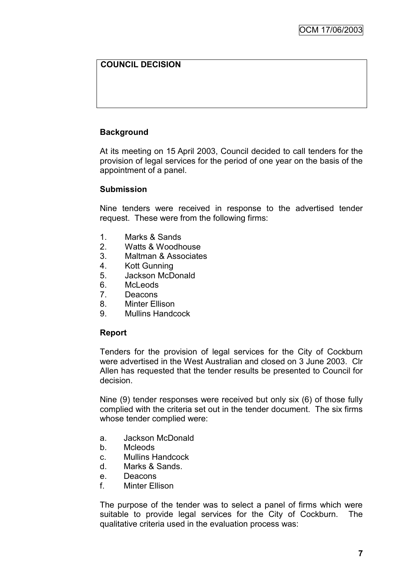# **COUNCIL DECISION**

# **Background**

At its meeting on 15 April 2003, Council decided to call tenders for the provision of legal services for the period of one year on the basis of the appointment of a panel.

### **Submission**

Nine tenders were received in response to the advertised tender request. These were from the following firms:

- 1. Marks & Sands
- 2. Watts & Woodhouse
- 3. Maltman & Associates
- 4. Kott Gunning
- 5. Jackson McDonald
- 6. McLeods
- 7. Deacons
- 8. Minter Ellison
- 9. Mullins Handcock

### **Report**

Tenders for the provision of legal services for the City of Cockburn were advertised in the West Australian and closed on 3 June 2003. Clr Allen has requested that the tender results be presented to Council for decision.

Nine (9) tender responses were received but only six (6) of those fully complied with the criteria set out in the tender document. The six firms whose tender complied were:

- a. Jackson McDonald
- b. Mcleods
- c. Mullins Handcock
- d. Marks & Sands.
- e. Deacons
- f. Minter Ellison

The purpose of the tender was to select a panel of firms which were suitable to provide legal services for the City of Cockburn. The qualitative criteria used in the evaluation process was: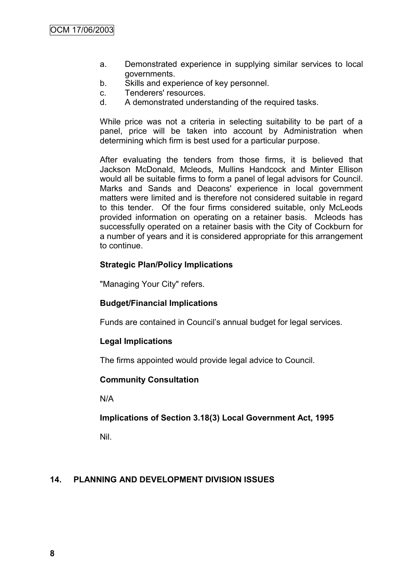- a. Demonstrated experience in supplying similar services to local governments.
- b. Skills and experience of key personnel.
- c. Tenderers' resources.
- d. A demonstrated understanding of the required tasks.

While price was not a criteria in selecting suitability to be part of a panel, price will be taken into account by Administration when determining which firm is best used for a particular purpose.

After evaluating the tenders from those firms, it is believed that Jackson McDonald, Mcleods, Mullins Handcock and Minter Ellison would all be suitable firms to form a panel of legal advisors for Council. Marks and Sands and Deacons' experience in local government matters were limited and is therefore not considered suitable in regard to this tender. Of the four firms considered suitable, only McLeods provided information on operating on a retainer basis. Mcleods has successfully operated on a retainer basis with the City of Cockburn for a number of years and it is considered appropriate for this arrangement to continue.

# **Strategic Plan/Policy Implications**

"Managing Your City" refers.

### **Budget/Financial Implications**

Funds are contained in Council"s annual budget for legal services.

### **Legal Implications**

The firms appointed would provide legal advice to Council.

### **Community Consultation**

N/A

### **Implications of Section 3.18(3) Local Government Act, 1995**

Nil.

### **14. PLANNING AND DEVELOPMENT DIVISION ISSUES**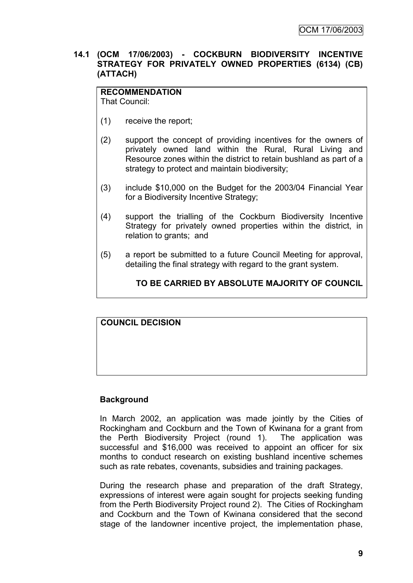### **14.1 (OCM 17/06/2003) - COCKBURN BIODIVERSITY INCENTIVE STRATEGY FOR PRIVATELY OWNED PROPERTIES (6134) (CB) (ATTACH)**

**RECOMMENDATION** That Council:

- (1) receive the report;
- (2) support the concept of providing incentives for the owners of privately owned land within the Rural, Rural Living and Resource zones within the district to retain bushland as part of a strategy to protect and maintain biodiversity;
- (3) include \$10,000 on the Budget for the 2003/04 Financial Year for a Biodiversity Incentive Strategy;
- (4) support the trialling of the Cockburn Biodiversity Incentive Strategy for privately owned properties within the district, in relation to grants; and
- (5) a report be submitted to a future Council Meeting for approval, detailing the final strategy with regard to the grant system.

# **TO BE CARRIED BY ABSOLUTE MAJORITY OF COUNCIL**

# **COUNCIL DECISION**

### **Background**

In March 2002, an application was made jointly by the Cities of Rockingham and Cockburn and the Town of Kwinana for a grant from the Perth Biodiversity Project (round 1). The application was successful and \$16,000 was received to appoint an officer for six months to conduct research on existing bushland incentive schemes such as rate rebates, covenants, subsidies and training packages.

During the research phase and preparation of the draft Strategy, expressions of interest were again sought for projects seeking funding from the Perth Biodiversity Project round 2). The Cities of Rockingham and Cockburn and the Town of Kwinana considered that the second stage of the landowner incentive project, the implementation phase,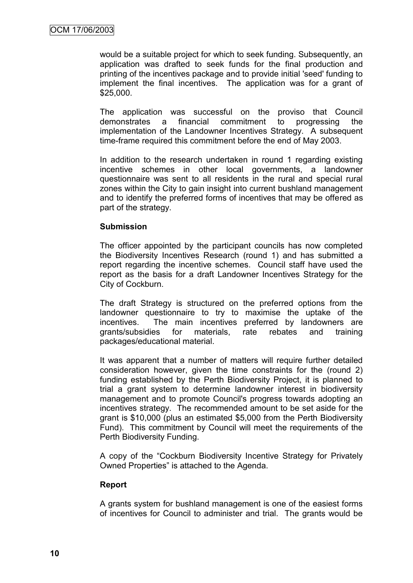would be a suitable project for which to seek funding. Subsequently, an application was drafted to seek funds for the final production and printing of the incentives package and to provide initial 'seed' funding to implement the final incentives. The application was for a grant of \$25,000.

The application was successful on the proviso that Council demonstrates a financial commitment to progressing the implementation of the Landowner Incentives Strategy. A subsequent time-frame required this commitment before the end of May 2003.

In addition to the research undertaken in round 1 regarding existing incentive schemes in other local governments, a landowner questionnaire was sent to all residents in the rural and special rural zones within the City to gain insight into current bushland management and to identify the preferred forms of incentives that may be offered as part of the strategy.

#### **Submission**

The officer appointed by the participant councils has now completed the Biodiversity Incentives Research (round 1) and has submitted a report regarding the incentive schemes. Council staff have used the report as the basis for a draft Landowner Incentives Strategy for the City of Cockburn.

The draft Strategy is structured on the preferred options from the landowner questionnaire to try to maximise the uptake of the incentives. The main incentives preferred by landowners are grants/subsidies for materials, rate rebates and training packages/educational material.

It was apparent that a number of matters will require further detailed consideration however, given the time constraints for the (round 2) funding established by the Perth Biodiversity Project, it is planned to trial a grant system to determine landowner interest in biodiversity management and to promote Council's progress towards adopting an incentives strategy. The recommended amount to be set aside for the grant is \$10,000 (plus an estimated \$5,000 from the Perth Biodiversity Fund). This commitment by Council will meet the requirements of the Perth Biodiversity Funding.

A copy of the "Cockburn Biodiversity Incentive Strategy for Privately Owned Properties" is attached to the Agenda.

### **Report**

A grants system for bushland management is one of the easiest forms of incentives for Council to administer and trial. The grants would be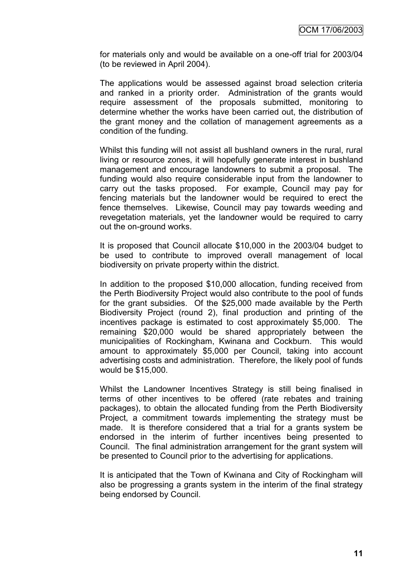for materials only and would be available on a one-off trial for 2003/04 (to be reviewed in April 2004).

The applications would be assessed against broad selection criteria and ranked in a priority order. Administration of the grants would require assessment of the proposals submitted, monitoring to determine whether the works have been carried out, the distribution of the grant money and the collation of management agreements as a condition of the funding.

Whilst this funding will not assist all bushland owners in the rural, rural living or resource zones, it will hopefully generate interest in bushland management and encourage landowners to submit a proposal. The funding would also require considerable input from the landowner to carry out the tasks proposed. For example, Council may pay for fencing materials but the landowner would be required to erect the fence themselves. Likewise, Council may pay towards weeding and revegetation materials, yet the landowner would be required to carry out the on-ground works.

It is proposed that Council allocate \$10,000 in the 2003/04 budget to be used to contribute to improved overall management of local biodiversity on private property within the district.

In addition to the proposed \$10,000 allocation, funding received from the Perth Biodiversity Project would also contribute to the pool of funds for the grant subsidies. Of the \$25,000 made available by the Perth Biodiversity Project (round 2), final production and printing of the incentives package is estimated to cost approximately \$5,000. The remaining \$20,000 would be shared appropriately between the municipalities of Rockingham, Kwinana and Cockburn. This would amount to approximately \$5,000 per Council, taking into account advertising costs and administration. Therefore, the likely pool of funds would be \$15,000.

Whilst the Landowner Incentives Strategy is still being finalised in terms of other incentives to be offered (rate rebates and training packages), to obtain the allocated funding from the Perth Biodiversity Project, a commitment towards implementing the strategy must be made. It is therefore considered that a trial for a grants system be endorsed in the interim of further incentives being presented to Council. The final administration arrangement for the grant system will be presented to Council prior to the advertising for applications.

It is anticipated that the Town of Kwinana and City of Rockingham will also be progressing a grants system in the interim of the final strategy being endorsed by Council.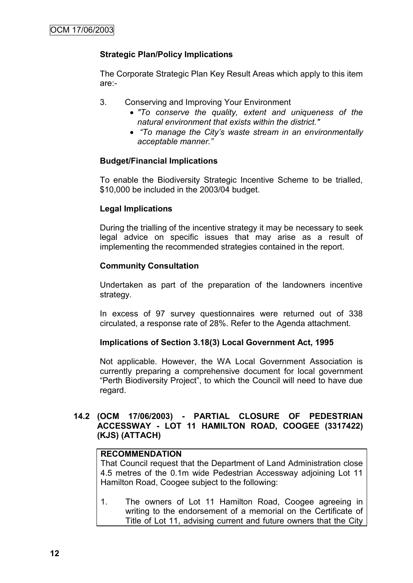# **Strategic Plan/Policy Implications**

The Corporate Strategic Plan Key Result Areas which apply to this item are:-

- 3. Conserving and Improving Your Environment
	- *"To conserve the quality, extent and uniqueness of the natural environment that exists within the district."*
	- *"To manage the City's waste stream in an environmentally acceptable manner."*

### **Budget/Financial Implications**

To enable the Biodiversity Strategic Incentive Scheme to be trialled, \$10,000 be included in the 2003/04 budget.

### **Legal Implications**

During the trialling of the incentive strategy it may be necessary to seek legal advice on specific issues that may arise as a result of implementing the recommended strategies contained in the report.

#### **Community Consultation**

Undertaken as part of the preparation of the landowners incentive strategy.

In excess of 97 survey questionnaires were returned out of 338 circulated, a response rate of 28%. Refer to the Agenda attachment.

#### **Implications of Section 3.18(3) Local Government Act, 1995**

Not applicable. However, the WA Local Government Association is currently preparing a comprehensive document for local government "Perth Biodiversity Project", to which the Council will need to have due regard.

### **14.2 (OCM 17/06/2003) - PARTIAL CLOSURE OF PEDESTRIAN ACCESSWAY - LOT 11 HAMILTON ROAD, COOGEE (3317422) (KJS) (ATTACH)**

### **RECOMMENDATION**

That Council request that the Department of Land Administration close 4.5 metres of the 0.1m wide Pedestrian Accessway adjoining Lot 11 Hamilton Road, Coogee subject to the following:

1. The owners of Lot 11 Hamilton Road, Coogee agreeing in writing to the endorsement of a memorial on the Certificate of Title of Lot 11, advising current and future owners that the City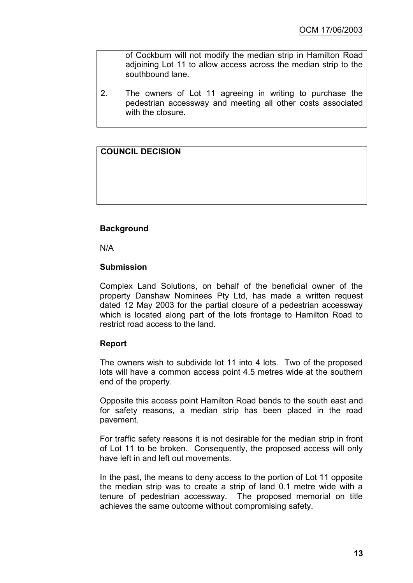of Cockburn will not modify the median strip in Hamilton Road adjoining Lot 11 to allow access across the median strip to the southbound lane.

2. The owners of Lot 11 agreeing in writing to purchase the pedestrian accessway and meeting all other costs associated with the closure.

# **COUNCIL DECISION**

# **Background**

N/A

### **Submission**

Complex Land Solutions, on behalf of the beneficial owner of the property Danshaw Nominees Pty Ltd, has made a written request dated 12 May 2003 for the partial closure of a pedestrian accessway which is located along part of the lots frontage to Hamilton Road to restrict road access to the land.

### **Report**

The owners wish to subdivide lot 11 into 4 lots. Two of the proposed lots will have a common access point 4.5 metres wide at the southern end of the property.

Opposite this access point Hamilton Road bends to the south east and for safety reasons, a median strip has been placed in the road pavement.

For traffic safety reasons it is not desirable for the median strip in front of Lot 11 to be broken. Consequently, the proposed access will only have left in and left out movements.

In the past, the means to deny access to the portion of Lot 11 opposite the median strip was to create a strip of land 0.1 metre wide with a tenure of pedestrian accessway. The proposed memorial on title achieves the same outcome without compromising safety.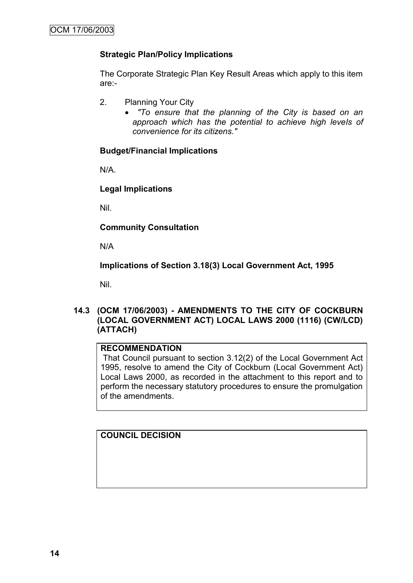# **Strategic Plan/Policy Implications**

The Corporate Strategic Plan Key Result Areas which apply to this item are:-

- 2. Planning Your City
	- *"To ensure that the planning of the City is based on an approach which has the potential to achieve high levels of convenience for its citizens."*

### **Budget/Financial Implications**

N/A.

# **Legal Implications**

Nil.

# **Community Consultation**

N/A

# **Implications of Section 3.18(3) Local Government Act, 1995**

Nil.

# **14.3 (OCM 17/06/2003) - AMENDMENTS TO THE CITY OF COCKBURN (LOCAL GOVERNMENT ACT) LOCAL LAWS 2000 (1116) (CW/LCD) (ATTACH)**

#### **RECOMMENDATION**

That Council pursuant to section 3.12(2) of the Local Government Act 1995, resolve to amend the City of Cockburn (Local Government Act) Local Laws 2000, as recorded in the attachment to this report and to perform the necessary statutory procedures to ensure the promulgation of the amendments.

**COUNCIL DECISION**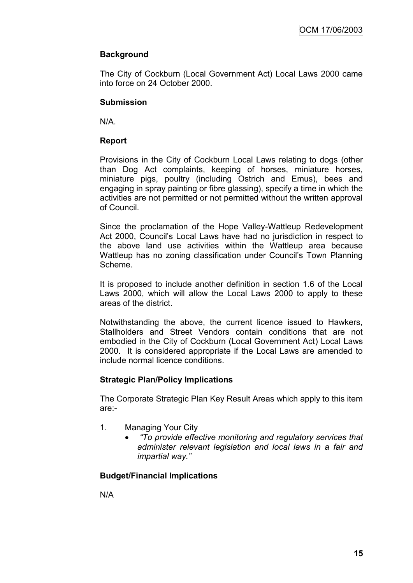# **Background**

The City of Cockburn (Local Government Act) Local Laws 2000 came into force on 24 October 2000.

### **Submission**

N/A.

# **Report**

Provisions in the City of Cockburn Local Laws relating to dogs (other than Dog Act complaints, keeping of horses, miniature horses, miniature pigs, poultry (including Ostrich and Emus), bees and engaging in spray painting or fibre glassing), specify a time in which the activities are not permitted or not permitted without the written approval of Council.

Since the proclamation of the Hope Valley-Wattleup Redevelopment Act 2000, Council"s Local Laws have had no jurisdiction in respect to the above land use activities within the Wattleup area because Wattleup has no zoning classification under Council's Town Planning Scheme.

It is proposed to include another definition in section 1.6 of the Local Laws 2000, which will allow the Local Laws 2000 to apply to these areas of the district.

Notwithstanding the above, the current licence issued to Hawkers, Stallholders and Street Vendors contain conditions that are not embodied in the City of Cockburn (Local Government Act) Local Laws 2000. It is considered appropriate if the Local Laws are amended to include normal licence conditions.

# **Strategic Plan/Policy Implications**

The Corporate Strategic Plan Key Result Areas which apply to this item are:-

- 1. Managing Your City
	- *"To provide effective monitoring and regulatory services that administer relevant legislation and local laws in a fair and impartial way."*

# **Budget/Financial Implications**

N/A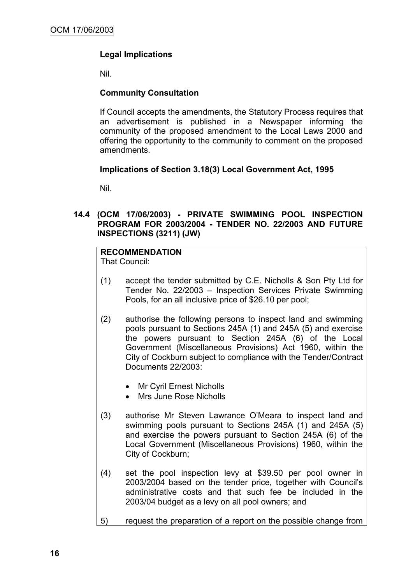# **Legal Implications**

Nil.

### **Community Consultation**

If Council accepts the amendments, the Statutory Process requires that an advertisement is published in a Newspaper informing the community of the proposed amendment to the Local Laws 2000 and offering the opportunity to the community to comment on the proposed amendments.

# **Implications of Section 3.18(3) Local Government Act, 1995**

Nil.

# **14.4 (OCM 17/06/2003) - PRIVATE SWIMMING POOL INSPECTION PROGRAM FOR 2003/2004 - TENDER NO. 22/2003 AND FUTURE INSPECTIONS (3211) (JW)**

# **RECOMMENDATION**

That Council:

- (1) accept the tender submitted by C.E. Nicholls & Son Pty Ltd for Tender No. 22/2003 – Inspection Services Private Swimming Pools, for an all inclusive price of \$26.10 per pool;
- (2) authorise the following persons to inspect land and swimming pools pursuant to Sections 245A (1) and 245A (5) and exercise the powers pursuant to Section 245A (6) of the Local Government (Miscellaneous Provisions) Act 1960, within the City of Cockburn subject to compliance with the Tender/Contract Documents 22/2003:
	- Mr Cyril Ernest Nicholls
	- Mrs June Rose Nicholls
- (3) authorise Mr Steven Lawrance O"Meara to inspect land and swimming pools pursuant to Sections 245A (1) and 245A (5) and exercise the powers pursuant to Section 245A (6) of the Local Government (Miscellaneous Provisions) 1960, within the City of Cockburn;
- (4) set the pool inspection levy at \$39.50 per pool owner in 2003/2004 based on the tender price, together with Council"s administrative costs and that such fee be included in the 2003/04 budget as a levy on all pool owners; and
- 5) request the preparation of a report on the possible change from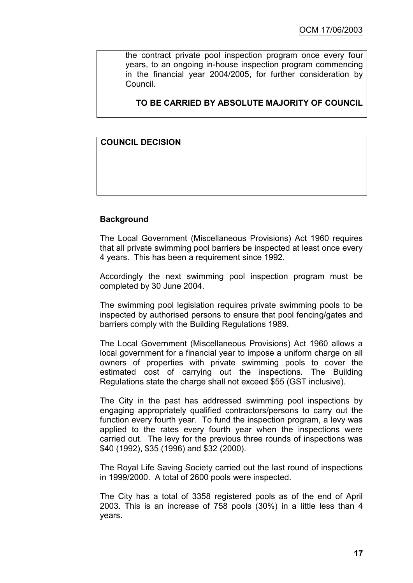the contract private pool inspection program once every four years, to an ongoing in-house inspection program commencing in the financial year 2004/2005, for further consideration by Council.

**TO BE CARRIED BY ABSOLUTE MAJORITY OF COUNCIL**

# **COUNCIL DECISION**

### **Background**

The Local Government (Miscellaneous Provisions) Act 1960 requires that all private swimming pool barriers be inspected at least once every 4 years. This has been a requirement since 1992.

Accordingly the next swimming pool inspection program must be completed by 30 June 2004.

The swimming pool legislation requires private swimming pools to be inspected by authorised persons to ensure that pool fencing/gates and barriers comply with the Building Regulations 1989.

The Local Government (Miscellaneous Provisions) Act 1960 allows a local government for a financial year to impose a uniform charge on all owners of properties with private swimming pools to cover the estimated cost of carrying out the inspections. The Building Regulations state the charge shall not exceed \$55 (GST inclusive).

The City in the past has addressed swimming pool inspections by engaging appropriately qualified contractors/persons to carry out the function every fourth year. To fund the inspection program, a levy was applied to the rates every fourth year when the inspections were carried out. The levy for the previous three rounds of inspections was \$40 (1992), \$35 (1996) and \$32 (2000).

The Royal Life Saving Society carried out the last round of inspections in 1999/2000. A total of 2600 pools were inspected.

The City has a total of 3358 registered pools as of the end of April 2003. This is an increase of 758 pools (30%) in a little less than 4 years.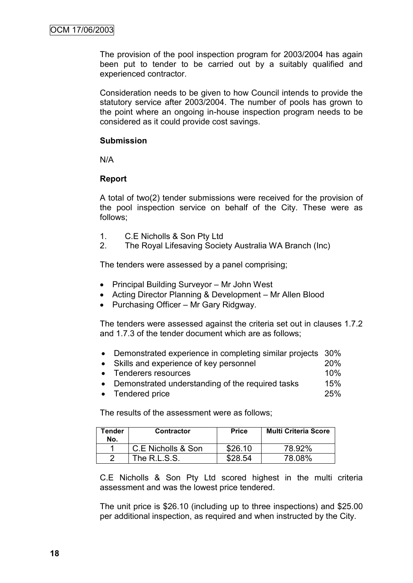The provision of the pool inspection program for 2003/2004 has again been put to tender to be carried out by a suitably qualified and experienced contractor.

Consideration needs to be given to how Council intends to provide the statutory service after 2003/2004. The number of pools has grown to the point where an ongoing in-house inspection program needs to be considered as it could provide cost savings.

### **Submission**

N/A

### **Report**

A total of two(2) tender submissions were received for the provision of the pool inspection service on behalf of the City. These were as follows;

- 1. C.E Nicholls & Son Pty Ltd
- 2. The Royal Lifesaving Society Australia WA Branch (Inc)

The tenders were assessed by a panel comprising;

- Principal Building Surveyor Mr John West
- Acting Director Planning & Development Mr Allen Blood
- Purchasing Officer Mr Gary Ridgway.

The tenders were assessed against the criteria set out in clauses 1.7.2 and 1.7.3 of the tender document which are as follows;

- Demonstrated experience in completing similar projects 30%
- Skills and experience of key personnel 20%
- Tenderers resources 10%
- Demonstrated understanding of the required tasks 15%
- Tendered price 25%

The results of the assessment were as follows;

| <b>Tender</b><br>No. | <b>Contractor</b>  | <b>Price</b> | <b>Multi Criteria Score</b> |
|----------------------|--------------------|--------------|-----------------------------|
|                      | C.E Nicholls & Son | \$26.10      | 78.92%                      |
|                      | The R.L.S.S.       | \$28.54      | 78.08%                      |

C.E Nicholls & Son Pty Ltd scored highest in the multi criteria assessment and was the lowest price tendered.

The unit price is \$26.10 (including up to three inspections) and \$25.00 per additional inspection, as required and when instructed by the City.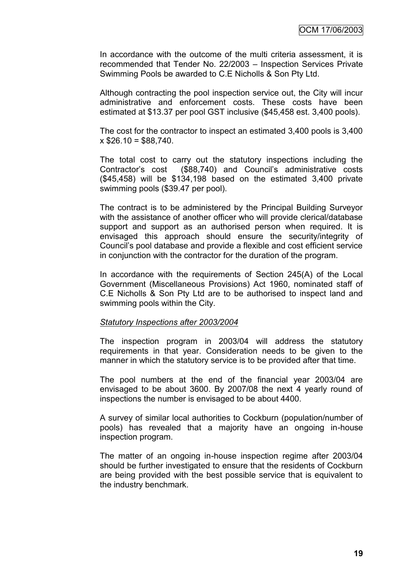In accordance with the outcome of the multi criteria assessment, it is recommended that Tender No. 22/2003 – Inspection Services Private Swimming Pools be awarded to C.E Nicholls & Son Pty Ltd.

Although contracting the pool inspection service out, the City will incur administrative and enforcement costs. These costs have been estimated at \$13.37 per pool GST inclusive (\$45,458 est. 3,400 pools).

The cost for the contractor to inspect an estimated 3,400 pools is 3,400  $x$  \$26.10 = \$88.740.

The total cost to carry out the statutory inspections including the Contractor"s cost (\$88,740) and Council"s administrative costs (\$45,458) will be \$134,198 based on the estimated 3,400 private swimming pools (\$39.47 per pool).

The contract is to be administered by the Principal Building Surveyor with the assistance of another officer who will provide clerical/database support and support as an authorised person when required. It is envisaged this approach should ensure the security/integrity of Council"s pool database and provide a flexible and cost efficient service in conjunction with the contractor for the duration of the program.

In accordance with the requirements of Section 245(A) of the Local Government (Miscellaneous Provisions) Act 1960, nominated staff of C.E Nicholls & Son Pty Ltd are to be authorised to inspect land and swimming pools within the City.

#### *Statutory Inspections after 2003/2004*

The inspection program in 2003/04 will address the statutory requirements in that year. Consideration needs to be given to the manner in which the statutory service is to be provided after that time.

The pool numbers at the end of the financial year 2003/04 are envisaged to be about 3600. By 2007/08 the next 4 yearly round of inspections the number is envisaged to be about 4400.

A survey of similar local authorities to Cockburn (population/number of pools) has revealed that a majority have an ongoing in-house inspection program.

The matter of an ongoing in-house inspection regime after 2003/04 should be further investigated to ensure that the residents of Cockburn are being provided with the best possible service that is equivalent to the industry benchmark.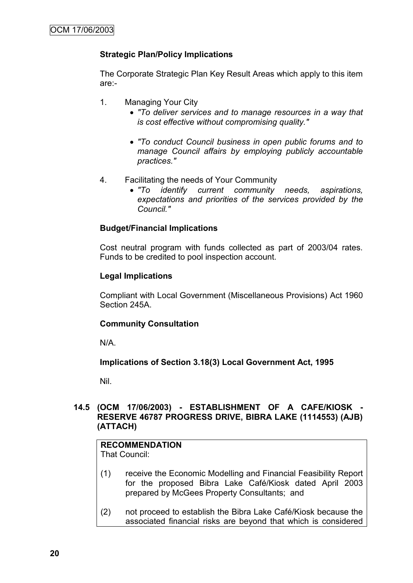# **Strategic Plan/Policy Implications**

The Corporate Strategic Plan Key Result Areas which apply to this item are:-

- 1. Managing Your City
	- *"To deliver services and to manage resources in a way that is cost effective without compromising quality."*
	- *"To conduct Council business in open public forums and to manage Council affairs by employing publicly accountable practices."*
- 4. Facilitating the needs of Your Community
	- *"To identify current community needs, aspirations, expectations and priorities of the services provided by the Council."*

# **Budget/Financial Implications**

Cost neutral program with funds collected as part of 2003/04 rates. Funds to be credited to pool inspection account.

### **Legal Implications**

Compliant with Local Government (Miscellaneous Provisions) Act 1960 Section 245A.

### **Community Consultation**

N/A.

### **Implications of Section 3.18(3) Local Government Act, 1995**

Nil.

# **14.5 (OCM 17/06/2003) - ESTABLISHMENT OF A CAFE/KIOSK - RESERVE 46787 PROGRESS DRIVE, BIBRA LAKE (1114553) (AJB) (ATTACH)**

# **RECOMMENDATION**

That Council:

- (1) receive the Economic Modelling and Financial Feasibility Report for the proposed Bibra Lake Café/Kiosk dated April 2003 prepared by McGees Property Consultants; and
- (2) not proceed to establish the Bibra Lake Café/Kiosk because the associated financial risks are beyond that which is considered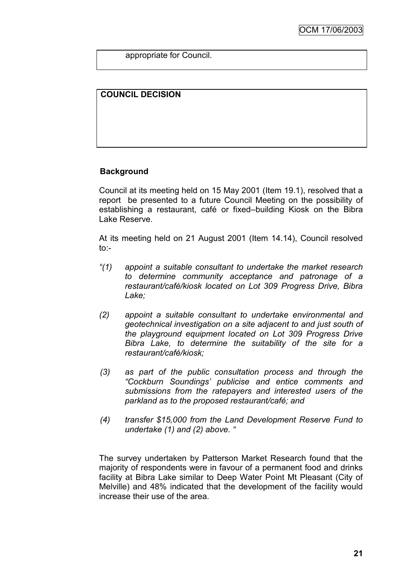appropriate for Council.

# **COUNCIL DECISION**

# **Background**

Council at its meeting held on 15 May 2001 (Item 19.1), resolved that a report be presented to a future Council Meeting on the possibility of establishing a restaurant, café or fixed–building Kiosk on the Bibra Lake Reserve.

At its meeting held on 21 August 2001 (Item 14.14), Council resolved to:-

- *"(1) appoint a suitable consultant to undertake the market research to determine community acceptance and patronage of a restaurant/café/kiosk located on Lot 309 Progress Drive, Bibra Lake;*
- *(2) appoint a suitable consultant to undertake environmental and geotechnical investigation on a site adjacent to and just south of the playground equipment located on Lot 309 Progress Drive Bibra Lake, to determine the suitability of the site for a restaurant/café/kiosk;*
- *(3) as part of the public consultation process and through the "Cockburn Soundings' publicise and entice comments and submissions from the ratepayers and interested users of the parkland as to the proposed restaurant/café; and*
- *(4) transfer \$15,000 from the Land Development Reserve Fund to undertake (1) and (2) above. "*

The survey undertaken by Patterson Market Research found that the majority of respondents were in favour of a permanent food and drinks facility at Bibra Lake similar to Deep Water Point Mt Pleasant (City of Melville) and 48% indicated that the development of the facility would increase their use of the area.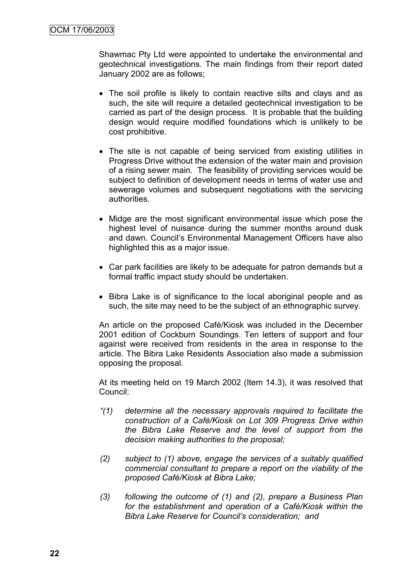Shawmac Pty Ltd were appointed to undertake the environmental and geotechnical investigations. The main findings from their report dated January 2002 are as follows;

- The soil profile is likely to contain reactive silts and clays and as such, the site will require a detailed geotechnical investigation to be carried as part of the design process. It is probable that the building design would require modified foundations which is unlikely to be cost prohibitive.
- The site is not capable of being serviced from existing utilities in Progress Drive without the extension of the water main and provision of a rising sewer main. The feasibility of providing services would be subject to definition of development needs in terms of water use and sewerage volumes and subsequent negotiations with the servicing authorities.
- Midge are the most significant environmental issue which pose the highest level of nuisance during the summer months around dusk and dawn. Council"s Environmental Management Officers have also highlighted this as a major issue.
- Car park facilities are likely to be adequate for patron demands but a formal traffic impact study should be undertaken.
- Bibra Lake is of significance to the local aboriginal people and as such, the site may need to be the subject of an ethnographic survey.

An article on the proposed Café/Kiosk was included in the December 2001 edition of Cockburn Soundings. Ten letters of support and four against were received from residents in the area in response to the article. The Bibra Lake Residents Association also made a submission opposing the proposal.

At its meeting held on 19 March 2002 (Item 14.3), it was resolved that Council:

- *"(1) determine all the necessary approvals required to facilitate the construction of a Café/Kiosk on Lot 309 Progress Drive within the Bibra Lake Reserve and the level of support from the decision making authorities to the proposal;*
- *(2) subject to (1) above, engage the services of a suitably qualified commercial consultant to prepare a report on the viability of the proposed Café/Kiosk at Bibra Lake;*
- *(3) following the outcome of (1) and (2), prepare a Business Plan for the establishment and operation of a Café/Kiosk within the Bibra Lake Reserve for Council's consideration; and*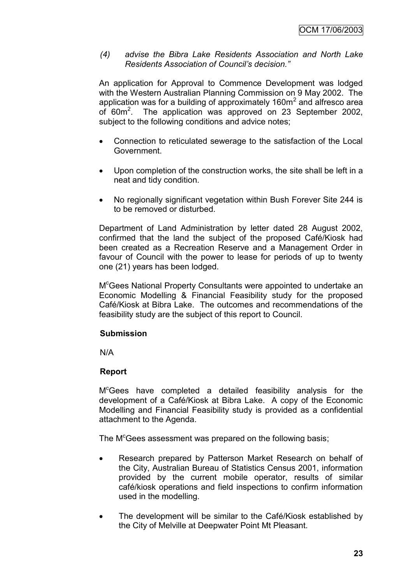*(4) advise the Bibra Lake Residents Association and North Lake Residents Association of Council's decision."*

An application for Approval to Commence Development was lodged with the Western Australian Planning Commission on 9 May 2002. The application was for a building of approximately  $160m^2$  and alfresco area of 60m<sup>2</sup>. The application was approved on 23 September 2002, subject to the following conditions and advice notes;

- Connection to reticulated sewerage to the satisfaction of the Local Government.
- Upon completion of the construction works, the site shall be left in a neat and tidy condition.
- No regionally significant vegetation within Bush Forever Site 244 is to be removed or disturbed.

Department of Land Administration by letter dated 28 August 2002, confirmed that the land the subject of the proposed Café/Kiosk had been created as a Recreation Reserve and a Management Order in favour of Council with the power to lease for periods of up to twenty one (21) years has been lodged.

M <sup>c</sup>Gees National Property Consultants were appointed to undertake an Economic Modelling & Financial Feasibility study for the proposed Café/Kiosk at Bibra Lake. The outcomes and recommendations of the feasibility study are the subject of this report to Council.

# **Submission**

N/A

# **Report**

M <sup>c</sup>Gees have completed a detailed feasibility analysis for the development of a Café/Kiosk at Bibra Lake. A copy of the Economic Modelling and Financial Feasibility study is provided as a confidential attachment to the Agenda.

The  $M^c$ Gees assessment was prepared on the following basis;

- Research prepared by Patterson Market Research on behalf of the City, Australian Bureau of Statistics Census 2001, information provided by the current mobile operator, results of similar café/kiosk operations and field inspections to confirm information used in the modelling.
- The development will be similar to the Café/Kiosk established by the City of Melville at Deepwater Point Mt Pleasant.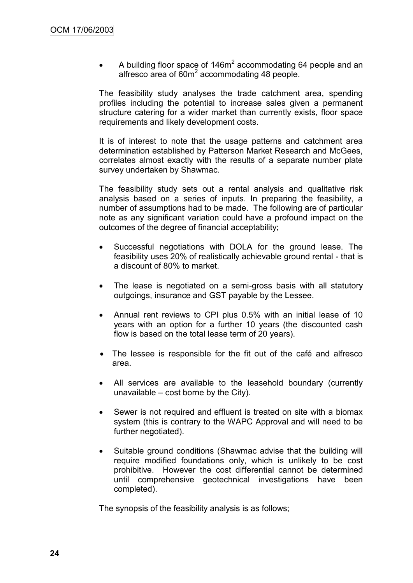A building floor space of  $146m^2$  accommodating 64 people and an alfresco area of 60m<sup>2</sup> accommodating 48 people.

The feasibility study analyses the trade catchment area, spending profiles including the potential to increase sales given a permanent structure catering for a wider market than currently exists, floor space requirements and likely development costs.

It is of interest to note that the usage patterns and catchment area determination established by Patterson Market Research and McGees, correlates almost exactly with the results of a separate number plate survey undertaken by Shawmac.

The feasibility study sets out a rental analysis and qualitative risk analysis based on a series of inputs. In preparing the feasibility, a number of assumptions had to be made. The following are of particular note as any significant variation could have a profound impact on the outcomes of the degree of financial acceptability;

- Successful negotiations with DOLA for the ground lease. The feasibility uses 20% of realistically achievable ground rental - that is a discount of 80% to market.
- The lease is negotiated on a semi-gross basis with all statutory outgoings, insurance and GST payable by the Lessee.
- Annual rent reviews to CPI plus 0.5% with an initial lease of 10 years with an option for a further 10 years (the discounted cash flow is based on the total lease term of 20 years).
- The lessee is responsible for the fit out of the café and alfresco area.
- All services are available to the leasehold boundary (currently unavailable – cost borne by the City).
- Sewer is not required and effluent is treated on site with a biomax system (this is contrary to the WAPC Approval and will need to be further negotiated).
- Suitable ground conditions (Shawmac advise that the building will require modified foundations only, which is unlikely to be cost prohibitive. However the cost differential cannot be determined until comprehensive geotechnical investigations have been completed).

The synopsis of the feasibility analysis is as follows;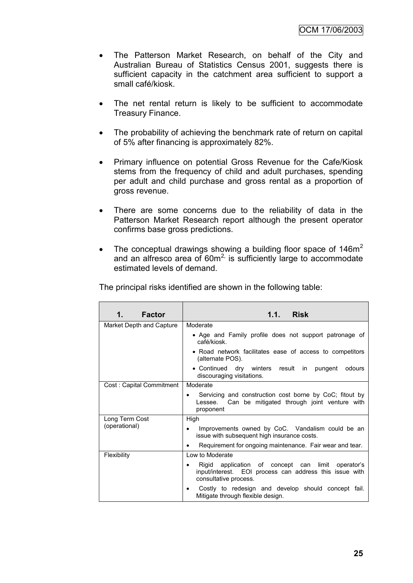- The Patterson Market Research, on behalf of the City and Australian Bureau of Statistics Census 2001, suggests there is sufficient capacity in the catchment area sufficient to support a small café/kiosk.
- The net rental return is likely to be sufficient to accommodate Treasury Finance.
- The probability of achieving the benchmark rate of return on capital of 5% after financing is approximately 82%.
- Primary influence on potential Gross Revenue for the Cafe/Kiosk stems from the frequency of child and adult purchases, spending per adult and child purchase and gross rental as a proportion of gross revenue.
- There are some concerns due to the reliability of data in the Patterson Market Research report although the present operator confirms base gross predictions.
- The conceptual drawings showing a building floor space of  $146m^2$ and an alfresco area of  $60m^2$  is sufficiently large to accommodate estimated levels of demand.

| Factor<br>1.             | <b>1.1.</b> Risk                                                                                                                                   |
|--------------------------|----------------------------------------------------------------------------------------------------------------------------------------------------|
| Market Depth and Capture | Moderate                                                                                                                                           |
|                          | • Age and Family profile does not support patronage of<br>café/kiosk.                                                                              |
|                          | • Road network facilitates ease of access to competitors<br>(alternate POS).                                                                       |
|                          | • Continued dry winters result in pungent<br>odours<br>discouraging visitations.                                                                   |
| Cost: Capital Commitment | Moderate                                                                                                                                           |
|                          | Servicing and construction cost borne by CoC; fitout by<br>Can be mitigated through joint venture with<br>Lessee.<br>proponent                     |
| Long Term Cost           | High                                                                                                                                               |
| (operational)            | Improvements owned by CoC. Vandalism could be an<br>issue with subsequent high insurance costs.                                                    |
|                          | Requirement for ongoing maintenance. Fair wear and tear.                                                                                           |
| Flexibility              | Low to Moderate                                                                                                                                    |
|                          | Rigid application of concept can limit operator's<br>$\bullet$<br>input/interest. EOI process can address this issue with<br>consultative process. |
|                          | Costly to redesign and develop should concept fail.<br>٠<br>Mitigate through flexible design.                                                      |

The principal risks identified are shown in the following table: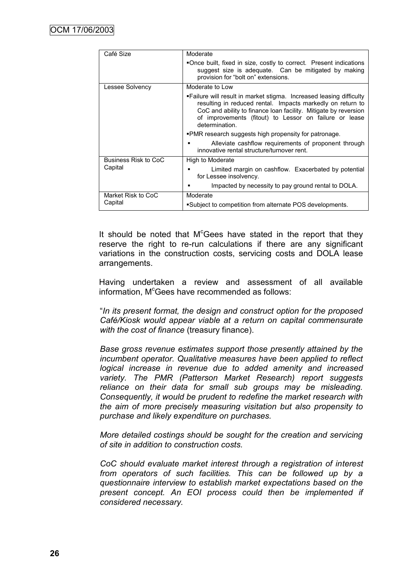| Café Size                     | Moderate                                                                                                                                                                                                                                                                          |
|-------------------------------|-----------------------------------------------------------------------------------------------------------------------------------------------------------------------------------------------------------------------------------------------------------------------------------|
|                               | • Once built, fixed in size, costly to correct. Present indications<br>suggest size is adequate. Can be mitigated by making<br>provision for "bolt on" extensions.                                                                                                                |
| Lessee Solvency               | Moderate to Low                                                                                                                                                                                                                                                                   |
|                               | • Failure will result in market stigma. Increased leasing difficulty<br>resulting in reduced rental. Impacts markedly on return to<br>CoC and ability to finance loan facility. Mitigate by reversion<br>of improvements (fitout) to Lessor on failure or lease<br>determination. |
|                               | . PMR research suggests high propensity for patronage.                                                                                                                                                                                                                            |
|                               | Alleviate cashflow requirements of proponent through<br>innovative rental structure/turnover rent.                                                                                                                                                                                |
| Business Risk to CoC          | High to Moderate                                                                                                                                                                                                                                                                  |
| Capital                       | Limited margin on cashflow. Exacerbated by potential<br>for Lessee insolvency.                                                                                                                                                                                                    |
|                               |                                                                                                                                                                                                                                                                                   |
|                               | Impacted by necessity to pay ground rental to DOLA.                                                                                                                                                                                                                               |
| Market Risk to CoC<br>Capital | Moderate                                                                                                                                                                                                                                                                          |

It should be noted that  $M^c$ Gees have stated in the report that they reserve the right to re-run calculations if there are any significant variations in the construction costs, servicing costs and DOLA lease arrangements.

Having undertaken a review and assessment of all available information,  $M^c$ Gees have recommended as follows:

"*In its present format, the design and construct option for the proposed Café/Kiosk would appear viable at a return on capital commensurate with the cost of finance* (treasury finance).

*Base gross revenue estimates support those presently attained by the incumbent operator. Qualitative measures have been applied to reflect logical increase in revenue due to added amenity and increased variety. The PMR (Patterson Market Research) report suggests reliance on their data for small sub groups may be misleading. Consequently, it would be prudent to redefine the market research with the aim of more precisely measuring visitation but also propensity to purchase and likely expenditure on purchases.*

*More detailed costings should be sought for the creation and servicing of site in addition to construction costs.*

*CoC should evaluate market interest through a registration of interest from operators of such facilities. This can be followed up by a questionnaire interview to establish market expectations based on the present concept. An EOI process could then be implemented if considered necessary.*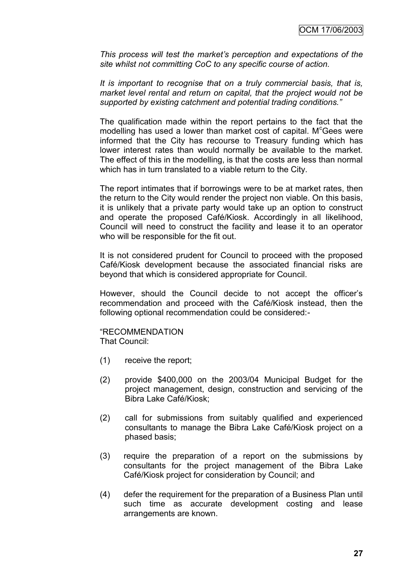*This process will test the market's perception and expectations of the site whilst not committing CoC to any specific course of action.*

*It is important to recognise that on a truly commercial basis, that is, market level rental and return on capital, that the project would not be supported by existing catchment and potential trading conditions."*

The qualification made within the report pertains to the fact that the modelling has used a lower than market cost of capital.  $M^c$ Gees were informed that the City has recourse to Treasury funding which has lower interest rates than would normally be available to the market. The effect of this in the modelling, is that the costs are less than normal which has in turn translated to a viable return to the City.

The report intimates that if borrowings were to be at market rates, then the return to the City would render the project non viable. On this basis, it is unlikely that a private party would take up an option to construct and operate the proposed Café/Kiosk. Accordingly in all likelihood, Council will need to construct the facility and lease it to an operator who will be responsible for the fit out.

It is not considered prudent for Council to proceed with the proposed Café/Kiosk development because the associated financial risks are beyond that which is considered appropriate for Council.

However, should the Council decide to not accept the officer"s recommendation and proceed with the Café/Kiosk instead, then the following optional recommendation could be considered:-

"RECOMMENDATION That Council:

- (1) receive the report;
- (2) provide \$400,000 on the 2003/04 Municipal Budget for the project management, design, construction and servicing of the Bibra Lake Café/Kiosk;
- (2) call for submissions from suitably qualified and experienced consultants to manage the Bibra Lake Café/Kiosk project on a phased basis;
- (3) require the preparation of a report on the submissions by consultants for the project management of the Bibra Lake Café/Kiosk project for consideration by Council; and
- (4) defer the requirement for the preparation of a Business Plan until such time as accurate development costing and lease arrangements are known.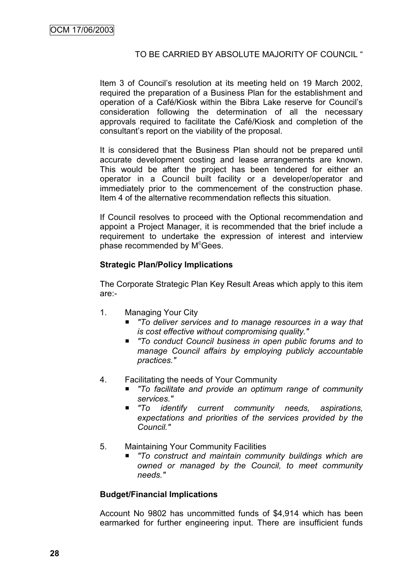# TO BE CARRIED BY ABSOLUTE MAJORITY OF COUNCIL "

Item 3 of Council"s resolution at its meeting held on 19 March 2002, required the preparation of a Business Plan for the establishment and operation of a Café/Kiosk within the Bibra Lake reserve for Council"s consideration following the determination of all the necessary approvals required to facilitate the Café/Kiosk and completion of the consultant"s report on the viability of the proposal.

It is considered that the Business Plan should not be prepared until accurate development costing and lease arrangements are known. This would be after the project has been tendered for either an operator in a Council built facility or a developer/operator and immediately prior to the commencement of the construction phase. Item 4 of the alternative recommendation reflects this situation.

If Council resolves to proceed with the Optional recommendation and appoint a Project Manager, it is recommended that the brief include a requirement to undertake the expression of interest and interview phase recommended by M<sup>c</sup>Gees.

### **Strategic Plan/Policy Implications**

The Corporate Strategic Plan Key Result Areas which apply to this item are:-

- 1. Managing Your City
	- To deliver services and to manage resources in a way that *is cost effective without compromising quality."*
	- To conduct Council business in open public forums and to *manage Council affairs by employing publicly accountable practices."*
- 4. Facilitating the needs of Your Community
	- *"To facilitate and provide an optimum range of community services."*
	- *"To identify current community needs, aspirations, expectations and priorities of the services provided by the Council."*
- 5. Maintaining Your Community Facilities
	- *"To construct and maintain community buildings which are owned or managed by the Council, to meet community needs."*

### **Budget/Financial Implications**

Account No 9802 has uncommitted funds of \$4,914 which has been earmarked for further engineering input. There are insufficient funds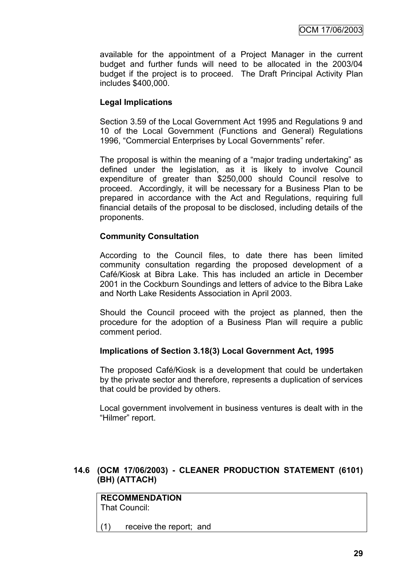available for the appointment of a Project Manager in the current budget and further funds will need to be allocated in the 2003/04 budget if the project is to proceed. The Draft Principal Activity Plan includes \$400,000.

### **Legal Implications**

Section 3.59 of the Local Government Act 1995 and Regulations 9 and 10 of the Local Government (Functions and General) Regulations 1996, "Commercial Enterprises by Local Governments" refer.

The proposal is within the meaning of a "major trading undertaking" as defined under the legislation, as it is likely to involve Council expenditure of greater than \$250,000 should Council resolve to proceed. Accordingly, it will be necessary for a Business Plan to be prepared in accordance with the Act and Regulations, requiring full financial details of the proposal to be disclosed, including details of the proponents.

### **Community Consultation**

According to the Council files, to date there has been limited community consultation regarding the proposed development of a Café/Kiosk at Bibra Lake. This has included an article in December 2001 in the Cockburn Soundings and letters of advice to the Bibra Lake and North Lake Residents Association in April 2003.

Should the Council proceed with the project as planned, then the procedure for the adoption of a Business Plan will require a public comment period.

### **Implications of Section 3.18(3) Local Government Act, 1995**

The proposed Café/Kiosk is a development that could be undertaken by the private sector and therefore, represents a duplication of services that could be provided by others.

Local government involvement in business ventures is dealt with in the "Hilmer" report.

# **14.6 (OCM 17/06/2003) - CLEANER PRODUCTION STATEMENT (6101) (BH) (ATTACH)**

**RECOMMENDATION** That Council:

(1) receive the report; and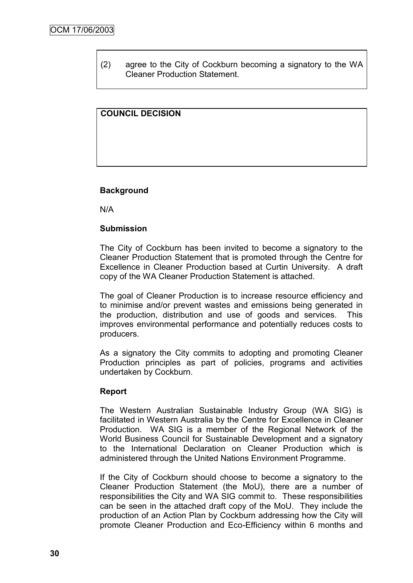(2) agree to the City of Cockburn becoming a signatory to the WA Cleaner Production Statement.

# **COUNCIL DECISION**

#### **Background**

N/A

#### **Submission**

The City of Cockburn has been invited to become a signatory to the Cleaner Production Statement that is promoted through the Centre for Excellence in Cleaner Production based at Curtin University. A draft copy of the WA Cleaner Production Statement is attached.

The goal of Cleaner Production is to increase resource efficiency and to minimise and/or prevent wastes and emissions being generated in the production, distribution and use of goods and services. This improves environmental performance and potentially reduces costs to producers.

As a signatory the City commits to adopting and promoting Cleaner Production principles as part of policies, programs and activities undertaken by Cockburn.

### **Report**

The Western Australian Sustainable Industry Group (WA SIG) is facilitated in Western Australia by the Centre for Excellence in Cleaner Production. WA SIG is a member of the Regional Network of the World Business Council for Sustainable Development and a signatory to the International Declaration on Cleaner Production which is administered through the United Nations Environment Programme.

If the City of Cockburn should choose to become a signatory to the Cleaner Production Statement (the MoU), there are a number of responsibilities the City and WA SIG commit to. These responsibilities can be seen in the attached draft copy of the MoU. They include the production of an Action Plan by Cockburn addressing how the City will promote Cleaner Production and Eco-Efficiency within 6 months and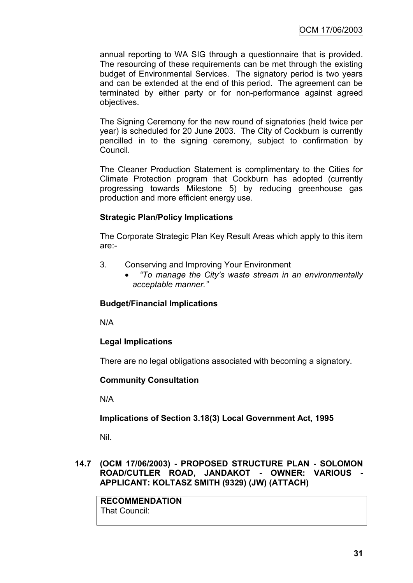annual reporting to WA SIG through a questionnaire that is provided. The resourcing of these requirements can be met through the existing budget of Environmental Services. The signatory period is two years and can be extended at the end of this period. The agreement can be terminated by either party or for non-performance against agreed objectives.

The Signing Ceremony for the new round of signatories (held twice per year) is scheduled for 20 June 2003. The City of Cockburn is currently pencilled in to the signing ceremony, subject to confirmation by Council.

The Cleaner Production Statement is complimentary to the Cities for Climate Protection program that Cockburn has adopted (currently progressing towards Milestone 5) by reducing greenhouse gas production and more efficient energy use.

## **Strategic Plan/Policy Implications**

The Corporate Strategic Plan Key Result Areas which apply to this item are:-

- 3. Conserving and Improving Your Environment
	- *"To manage the City's waste stream in an environmentally acceptable manner."*

# **Budget/Financial Implications**

N/A

# **Legal Implications**

There are no legal obligations associated with becoming a signatory.

#### **Community Consultation**

N/A

# **Implications of Section 3.18(3) Local Government Act, 1995**

Nil.

## **14.7 (OCM 17/06/2003) - PROPOSED STRUCTURE PLAN - SOLOMON ROAD/CUTLER ROAD, JANDAKOT - OWNER: VARIOUS - APPLICANT: KOLTASZ SMITH (9329) (JW) (ATTACH)**

**RECOMMENDATION** That Council: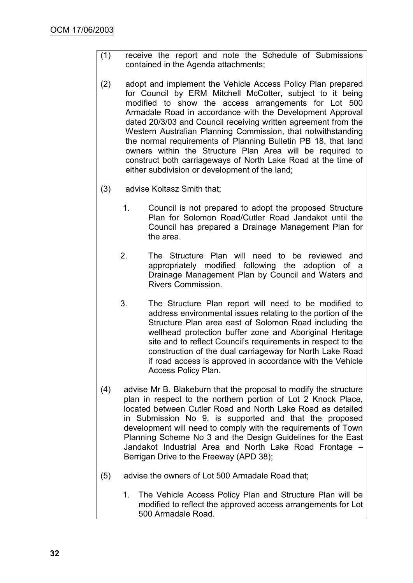- (1) receive the report and note the Schedule of Submissions contained in the Agenda attachments;
- (2) adopt and implement the Vehicle Access Policy Plan prepared for Council by ERM Mitchell McCotter, subject to it being modified to show the access arrangements for Lot 500 Armadale Road in accordance with the Development Approval dated 20/3/03 and Council receiving written agreement from the Western Australian Planning Commission, that notwithstanding the normal requirements of Planning Bulletin PB 18, that land owners within the Structure Plan Area will be required to construct both carriageways of North Lake Road at the time of either subdivision or development of the land;
- (3) advise Koltasz Smith that;
	- 1. Council is not prepared to adopt the proposed Structure Plan for Solomon Road/Cutler Road Jandakot until the Council has prepared a Drainage Management Plan for the area.
	- 2. The Structure Plan will need to be reviewed and appropriately modified following the adoption of a Drainage Management Plan by Council and Waters and Rivers Commission.
	- 3. The Structure Plan report will need to be modified to address environmental issues relating to the portion of the Structure Plan area east of Solomon Road including the wellhead protection buffer zone and Aboriginal Heritage site and to reflect Council"s requirements in respect to the construction of the dual carriageway for North Lake Road if road access is approved in accordance with the Vehicle Access Policy Plan.
- (4) advise Mr B. Blakeburn that the proposal to modify the structure plan in respect to the northern portion of Lot 2 Knock Place, located between Cutler Road and North Lake Road as detailed in Submission No 9, is supported and that the proposed development will need to comply with the requirements of Town Planning Scheme No 3 and the Design Guidelines for the East Jandakot Industrial Area and North Lake Road Frontage – Berrigan Drive to the Freeway (APD 38);
- (5) advise the owners of Lot 500 Armadale Road that;
	- 1. The Vehicle Access Policy Plan and Structure Plan will be modified to reflect the approved access arrangements for Lot 500 Armadale Road.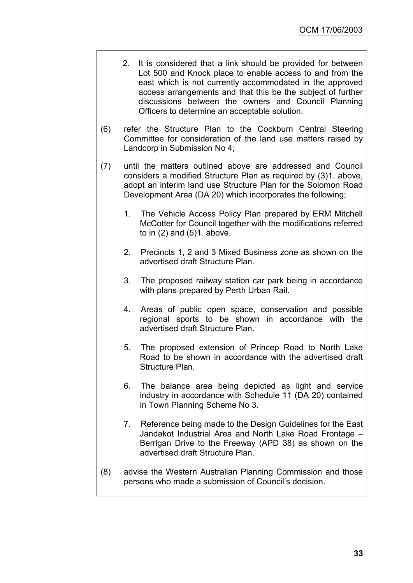- 2. It is considered that a link should be provided for between Lot 500 and Knock place to enable access to and from the east which is not currently accommodated in the approved access arrangements and that this be the subject of further discussions between the owners and Council Planning Officers to determine an acceptable solution.
- (6) refer the Structure Plan to the Cockburn Central Steering Committee for consideration of the land use matters raised by Landcorp in Submission No 4;
- (7) until the matters outlined above are addressed and Council considers a modified Structure Plan as required by (3)1. above, adopt an interim land use Structure Plan for the Solomon Road Development Area (DA 20) which incorporates the following;
	- 1. The Vehicle Access Policy Plan prepared by ERM Mitchell McCotter for Council together with the modifications referred to in (2) and (5)1. above.
	- 2. Precincts 1, 2 and 3 Mixed Business zone as shown on the advertised draft Structure Plan.
	- 3. The proposed railway station car park being in accordance with plans prepared by Perth Urban Rail.
	- 4. Areas of public open space, conservation and possible regional sports to be shown in accordance with the advertised draft Structure Plan.
	- 5. The proposed extension of Princep Road to North Lake Road to be shown in accordance with the advertised draft Structure Plan.
	- 6. The balance area being depicted as light and service industry in accordance with Schedule 11 (DA 20) contained in Town Planning Scheme No 3.
	- 7. Reference being made to the Design Guidelines for the East Jandakot Industrial Area and North Lake Road Frontage – Berrigan Drive to the Freeway (APD 38) as shown on the advertised draft Structure Plan.
- (8) advise the Western Australian Planning Commission and those persons who made a submission of Council"s decision.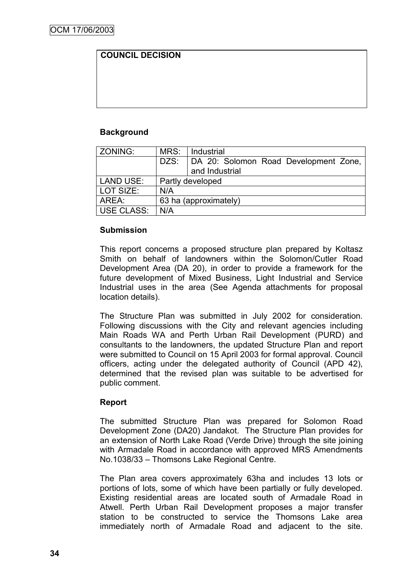## **COUNCIL DECISION**

#### **Background**

| ZONING:          | MRS: | Industrial                                   |
|------------------|------|----------------------------------------------|
|                  |      | DZS:   DA 20: Solomon Road Development Zone, |
|                  |      | and Industrial                               |
| <b>LAND USE:</b> |      | Partly developed                             |
| LOT SIZE:        | N/A  |                                              |
| AREA:            |      | 63 ha (approximately)                        |
| USE CLASS:       | N/A  |                                              |

#### **Submission**

This report concerns a proposed structure plan prepared by Koltasz Smith on behalf of landowners within the Solomon/Cutler Road Development Area (DA 20), in order to provide a framework for the future development of Mixed Business, Light Industrial and Service Industrial uses in the area (See Agenda attachments for proposal location details).

The Structure Plan was submitted in July 2002 for consideration. Following discussions with the City and relevant agencies including Main Roads WA and Perth Urban Rail Development (PURD) and consultants to the landowners, the updated Structure Plan and report were submitted to Council on 15 April 2003 for formal approval. Council officers, acting under the delegated authority of Council (APD 42), determined that the revised plan was suitable to be advertised for public comment.

#### **Report**

The submitted Structure Plan was prepared for Solomon Road Development Zone (DA20) Jandakot. The Structure Plan provides for an extension of North Lake Road (Verde Drive) through the site joining with Armadale Road in accordance with approved MRS Amendments No.1038/33 – Thomsons Lake Regional Centre.

The Plan area covers approximately 63ha and includes 13 lots or portions of lots, some of which have been partially or fully developed. Existing residential areas are located south of Armadale Road in Atwell. Perth Urban Rail Development proposes a major transfer station to be constructed to service the Thomsons Lake area immediately north of Armadale Road and adjacent to the site.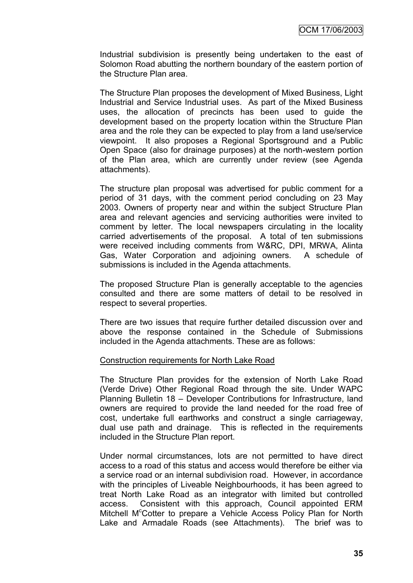Industrial subdivision is presently being undertaken to the east of Solomon Road abutting the northern boundary of the eastern portion of the Structure Plan area.

The Structure Plan proposes the development of Mixed Business, Light Industrial and Service Industrial uses. As part of the Mixed Business uses, the allocation of precincts has been used to guide the development based on the property location within the Structure Plan area and the role they can be expected to play from a land use/service viewpoint. It also proposes a Regional Sportsground and a Public Open Space (also for drainage purposes) at the north-western portion of the Plan area, which are currently under review (see Agenda attachments).

The structure plan proposal was advertised for public comment for a period of 31 days, with the comment period concluding on 23 May 2003. Owners of property near and within the subject Structure Plan area and relevant agencies and servicing authorities were invited to comment by letter. The local newspapers circulating in the locality carried advertisements of the proposal. A total of ten submissions were received including comments from W&RC, DPI, MRWA, Alinta Gas, Water Corporation and adjoining owners. A schedule of submissions is included in the Agenda attachments.

The proposed Structure Plan is generally acceptable to the agencies consulted and there are some matters of detail to be resolved in respect to several properties.

There are two issues that require further detailed discussion over and above the response contained in the Schedule of Submissions included in the Agenda attachments. These are as follows:

#### Construction requirements for North Lake Road

The Structure Plan provides for the extension of North Lake Road (Verde Drive) Other Regional Road through the site. Under WAPC Planning Bulletin 18 – Developer Contributions for Infrastructure, land owners are required to provide the land needed for the road free of cost, undertake full earthworks and construct a single carriageway, dual use path and drainage. This is reflected in the requirements included in the Structure Plan report.

Under normal circumstances, lots are not permitted to have direct access to a road of this status and access would therefore be either via a service road or an internal subdivision road. However, in accordance with the principles of Liveable Neighbourhoods, it has been agreed to treat North Lake Road as an integrator with limited but controlled access. Consistent with this approach, Council appointed ERM Mitchell M<sup>c</sup>Cotter to prepare a Vehicle Access Policy Plan for North Lake and Armadale Roads (see Attachments). The brief was to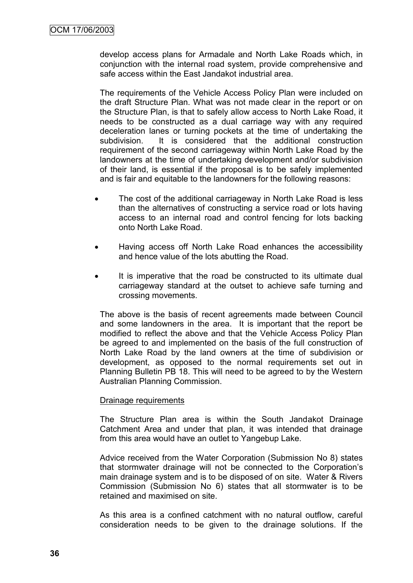develop access plans for Armadale and North Lake Roads which, in conjunction with the internal road system, provide comprehensive and safe access within the East Jandakot industrial area.

The requirements of the Vehicle Access Policy Plan were included on the draft Structure Plan. What was not made clear in the report or on the Structure Plan, is that to safely allow access to North Lake Road, it needs to be constructed as a dual carriage way with any required deceleration lanes or turning pockets at the time of undertaking the subdivision. It is considered that the additional construction requirement of the second carriageway within North Lake Road by the landowners at the time of undertaking development and/or subdivision of their land, is essential if the proposal is to be safely implemented and is fair and equitable to the landowners for the following reasons:

- The cost of the additional carriageway in North Lake Road is less than the alternatives of constructing a service road or lots having access to an internal road and control fencing for lots backing onto North Lake Road.
- Having access off North Lake Road enhances the accessibility and hence value of the lots abutting the Road.
- It is imperative that the road be constructed to its ultimate dual carriageway standard at the outset to achieve safe turning and crossing movements.

The above is the basis of recent agreements made between Council and some landowners in the area. It is important that the report be modified to reflect the above and that the Vehicle Access Policy Plan be agreed to and implemented on the basis of the full construction of North Lake Road by the land owners at the time of subdivision or development, as opposed to the normal requirements set out in Planning Bulletin PB 18. This will need to be agreed to by the Western Australian Planning Commission.

#### Drainage requirements

The Structure Plan area is within the South Jandakot Drainage Catchment Area and under that plan, it was intended that drainage from this area would have an outlet to Yangebup Lake.

Advice received from the Water Corporation (Submission No 8) states that stormwater drainage will not be connected to the Corporation"s main drainage system and is to be disposed of on site. Water & Rivers Commission (Submission No 6) states that all stormwater is to be retained and maximised on site.

As this area is a confined catchment with no natural outflow, careful consideration needs to be given to the drainage solutions. If the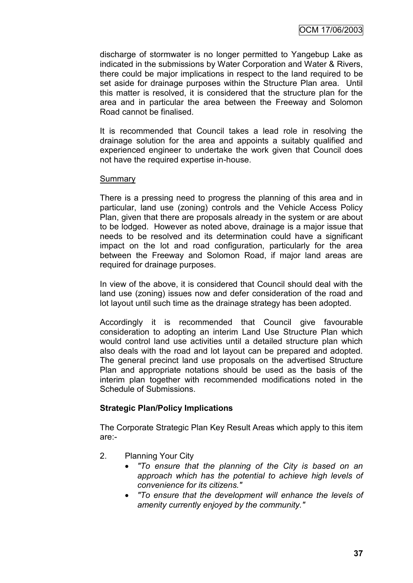discharge of stormwater is no longer permitted to Yangebup Lake as indicated in the submissions by Water Corporation and Water & Rivers, there could be major implications in respect to the land required to be set aside for drainage purposes within the Structure Plan area. Until this matter is resolved, it is considered that the structure plan for the area and in particular the area between the Freeway and Solomon Road cannot be finalised.

It is recommended that Council takes a lead role in resolving the drainage solution for the area and appoints a suitably qualified and experienced engineer to undertake the work given that Council does not have the required expertise in-house.

#### **Summary**

There is a pressing need to progress the planning of this area and in particular, land use (zoning) controls and the Vehicle Access Policy Plan, given that there are proposals already in the system or are about to be lodged. However as noted above, drainage is a major issue that needs to be resolved and its determination could have a significant impact on the lot and road configuration, particularly for the area between the Freeway and Solomon Road, if major land areas are required for drainage purposes.

In view of the above, it is considered that Council should deal with the land use (zoning) issues now and defer consideration of the road and lot layout until such time as the drainage strategy has been adopted.

Accordingly it is recommended that Council give favourable consideration to adopting an interim Land Use Structure Plan which would control land use activities until a detailed structure plan which also deals with the road and lot layout can be prepared and adopted. The general precinct land use proposals on the advertised Structure Plan and appropriate notations should be used as the basis of the interim plan together with recommended modifications noted in the Schedule of Submissions.

#### **Strategic Plan/Policy Implications**

The Corporate Strategic Plan Key Result Areas which apply to this item are:-

- 2. Planning Your City
	- *"To ensure that the planning of the City is based on an approach which has the potential to achieve high levels of convenience for its citizens."*
	- *"To ensure that the development will enhance the levels of amenity currently enjoyed by the community."*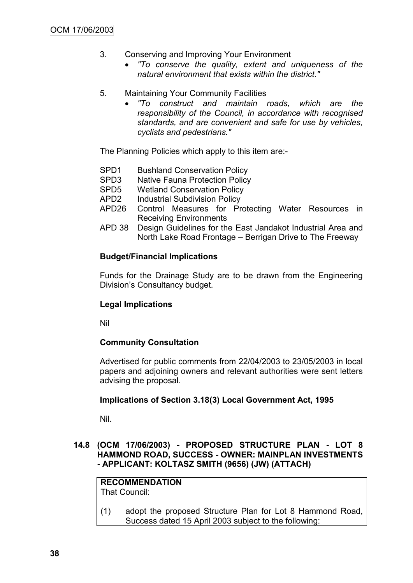- 3. Conserving and Improving Your Environment
	- *"To conserve the quality, extent and uniqueness of the natural environment that exists within the district."*
- 5. Maintaining Your Community Facilities
	- *"To construct and maintain roads, which are the responsibility of the Council, in accordance with recognised standards, and are convenient and safe for use by vehicles, cyclists and pedestrians."*

The Planning Policies which apply to this item are:-

- SPD1 Bushland Conservation Policy
- SPD3 Native Fauna Protection Policy
- SPD5 Wetland Conservation Policy
- APD2 Industrial Subdivision Policy<br>APD26 Control Measures for Pr
- Control Measures for Protecting Water Resources in Receiving Environments
- APD 38 Design Guidelines for the East Jandakot Industrial Area and North Lake Road Frontage – Berrigan Drive to The Freeway

#### **Budget/Financial Implications**

Funds for the Drainage Study are to be drawn from the Engineering Division"s Consultancy budget.

#### **Legal Implications**

Nil

#### **Community Consultation**

Advertised for public comments from 22/04/2003 to 23/05/2003 in local papers and adjoining owners and relevant authorities were sent letters advising the proposal.

#### **Implications of Section 3.18(3) Local Government Act, 1995**

Nil.

## **14.8 (OCM 17/06/2003) - PROPOSED STRUCTURE PLAN - LOT 8 HAMMOND ROAD, SUCCESS - OWNER: MAINPLAN INVESTMENTS - APPLICANT: KOLTASZ SMITH (9656) (JW) (ATTACH)**

#### **RECOMMENDATION** That Council:

(1) adopt the proposed Structure Plan for Lot 8 Hammond Road, Success dated 15 April 2003 subject to the following: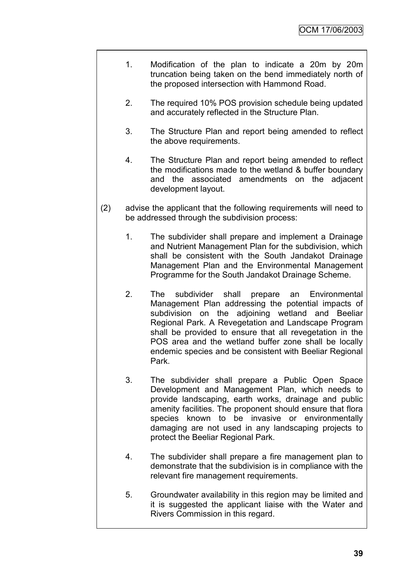- 1. Modification of the plan to indicate a 20m by 20m truncation being taken on the bend immediately north of the proposed intersection with Hammond Road.
- 2. The required 10% POS provision schedule being updated and accurately reflected in the Structure Plan.
- 3. The Structure Plan and report being amended to reflect the above requirements.
- 4. The Structure Plan and report being amended to reflect the modifications made to the wetland & buffer boundary and the associated amendments on the adjacent development layout.
- (2) advise the applicant that the following requirements will need to be addressed through the subdivision process:
	- 1. The subdivider shall prepare and implement a Drainage and Nutrient Management Plan for the subdivision, which shall be consistent with the South Jandakot Drainage Management Plan and the Environmental Management Programme for the South Jandakot Drainage Scheme.
	- 2. The subdivider shall prepare an Environmental Management Plan addressing the potential impacts of subdivision on the adjoining wetland and Beeliar Regional Park. A Revegetation and Landscape Program shall be provided to ensure that all revegetation in the POS area and the wetland buffer zone shall be locally endemic species and be consistent with Beeliar Regional Park.
	- 3. The subdivider shall prepare a Public Open Space Development and Management Plan, which needs to provide landscaping, earth works, drainage and public amenity facilities. The proponent should ensure that flora species known to be invasive or environmentally damaging are not used in any landscaping projects to protect the Beeliar Regional Park.
	- 4. The subdivider shall prepare a fire management plan to demonstrate that the subdivision is in compliance with the relevant fire management requirements.
	- 5. Groundwater availability in this region may be limited and it is suggested the applicant liaise with the Water and Rivers Commission in this regard.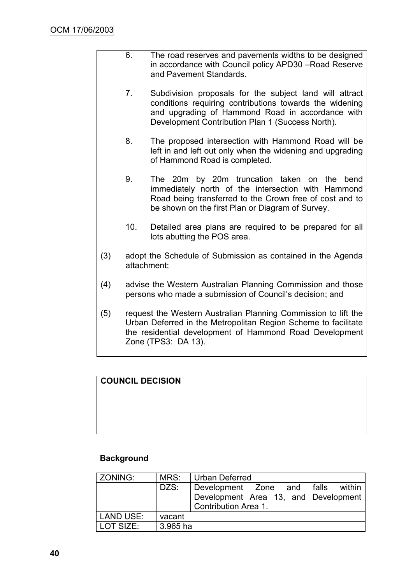- 6. The road reserves and pavements widths to be designed in accordance with Council policy APD30 –Road Reserve and Pavement Standards.
	- 7. Subdivision proposals for the subject land will attract conditions requiring contributions towards the widening and upgrading of Hammond Road in accordance with Development Contribution Plan 1 (Success North).
	- 8. The proposed intersection with Hammond Road will be left in and left out only when the widening and upgrading of Hammond Road is completed.
	- 9. The 20m by 20m truncation taken on the bend immediately north of the intersection with Hammond Road being transferred to the Crown free of cost and to be shown on the first Plan or Diagram of Survey.
	- 10. Detailed area plans are required to be prepared for all lots abutting the POS area.
- (3) adopt the Schedule of Submission as contained in the Agenda attachment;
- (4) advise the Western Australian Planning Commission and those persons who made a submission of Council"s decision; and
- (5) request the Western Australian Planning Commission to lift the Urban Deferred in the Metropolitan Region Scheme to facilitate the residential development of Hammond Road Development Zone (TPS3: DA 13).

# **COUNCIL DECISION**

#### **Background**

| ZONING:          | MRS:     | Urban Deferred                       |
|------------------|----------|--------------------------------------|
|                  | DZS:     | Development Zone and falls within    |
|                  |          | Development Area 13, and Development |
|                  |          | Contribution Area 1.                 |
| <b>LAND USE:</b> | vacant   |                                      |
| LOT SIZE:        | 3.965 ha |                                      |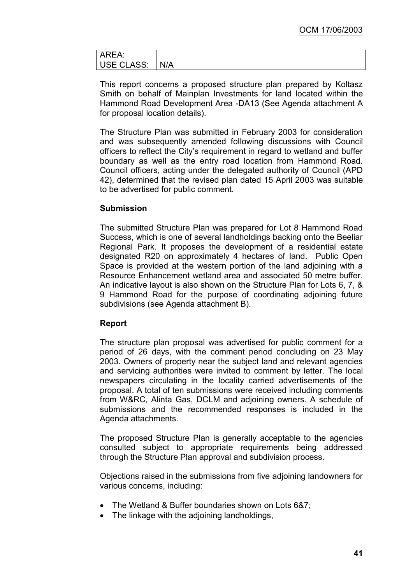| ιAΓ<br>રEA: |     |
|-------------|-----|
| USE CLASS:  | N/A |

This report concerns a proposed structure plan prepared by Koltasz Smith on behalf of Mainplan Investments for land located within the Hammond Road Development Area -DA13 (See Agenda attachment A for proposal location details).

The Structure Plan was submitted in February 2003 for consideration and was subsequently amended following discussions with Council officers to reflect the City"s requirement in regard to wetland and buffer boundary as well as the entry road location from Hammond Road. Council officers, acting under the delegated authority of Council (APD 42), determined that the revised plan dated 15 April 2003 was suitable to be advertised for public comment.

#### **Submission**

The submitted Structure Plan was prepared for Lot 8 Hammond Road Success, which is one of several landholdings backing onto the Beeliar Regional Park. It proposes the development of a residential estate designated R20 on approximately 4 hectares of land. Public Open Space is provided at the western portion of the land adjoining with a Resource Enhancement wetland area and associated 50 metre buffer. An indicative layout is also shown on the Structure Plan for Lots 6, 7, & 9 Hammond Road for the purpose of coordinating adjoining future subdivisions (see Agenda attachment B).

#### **Report**

The structure plan proposal was advertised for public comment for a period of 26 days, with the comment period concluding on 23 May 2003. Owners of property near the subject land and relevant agencies and servicing authorities were invited to comment by letter. The local newspapers circulating in the locality carried advertisements of the proposal. A total of ten submissions were received including comments from W&RC, Alinta Gas, DCLM and adjoining owners. A schedule of submissions and the recommended responses is included in the Agenda attachments.

The proposed Structure Plan is generally acceptable to the agencies consulted subject to appropriate requirements being addressed through the Structure Plan approval and subdivision process.

Objections raised in the submissions from five adjoining landowners for various concerns, including:

- The Wetland & Buffer boundaries shown on Lots 6&7;
- The linkage with the adjoining landholdings,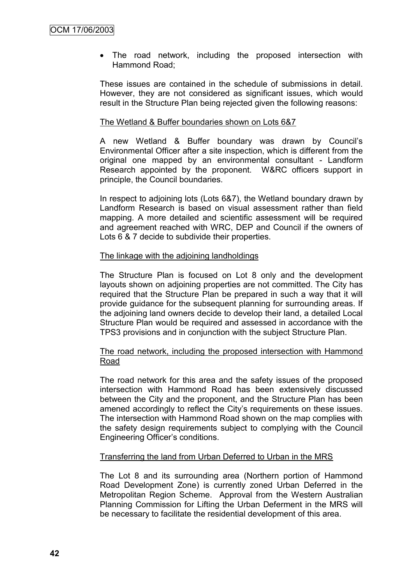The road network, including the proposed intersection with Hammond Road;

These issues are contained in the schedule of submissions in detail. However, they are not considered as significant issues, which would result in the Structure Plan being rejected given the following reasons:

#### The Wetland & Buffer boundaries shown on Lots 6&7

A new Wetland & Buffer boundary was drawn by Council"s Environmental Officer after a site inspection, which is different from the original one mapped by an environmental consultant - Landform Research appointed by the proponent. W&RC officers support in principle, the Council boundaries.

In respect to adjoining lots (Lots 6&7), the Wetland boundary drawn by Landform Research is based on visual assessment rather than field mapping. A more detailed and scientific assessment will be required and agreement reached with WRC, DEP and Council if the owners of Lots 6 & 7 decide to subdivide their properties.

#### The linkage with the adjoining landholdings

The Structure Plan is focused on Lot 8 only and the development layouts shown on adjoining properties are not committed. The City has required that the Structure Plan be prepared in such a way that it will provide guidance for the subsequent planning for surrounding areas. If the adjoining land owners decide to develop their land, a detailed Local Structure Plan would be required and assessed in accordance with the TPS3 provisions and in conjunction with the subject Structure Plan.

#### The road network, including the proposed intersection with Hammond Road

The road network for this area and the safety issues of the proposed intersection with Hammond Road has been extensively discussed between the City and the proponent, and the Structure Plan has been amened accordingly to reflect the City"s requirements on these issues. The intersection with Hammond Road shown on the map complies with the safety design requirements subject to complying with the Council Engineering Officer"s conditions.

#### Transferring the land from Urban Deferred to Urban in the MRS

The Lot 8 and its surrounding area (Northern portion of Hammond Road Development Zone) is currently zoned Urban Deferred in the Metropolitan Region Scheme. Approval from the Western Australian Planning Commission for Lifting the Urban Deferment in the MRS will be necessary to facilitate the residential development of this area.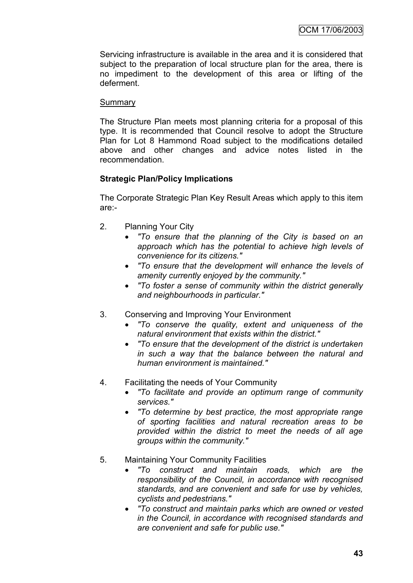Servicing infrastructure is available in the area and it is considered that subject to the preparation of local structure plan for the area, there is no impediment to the development of this area or lifting of the deferment.

## Summary

The Structure Plan meets most planning criteria for a proposal of this type. It is recommended that Council resolve to adopt the Structure Plan for Lot 8 Hammond Road subject to the modifications detailed above and other changes and advice notes listed in the recommendation.

# **Strategic Plan/Policy Implications**

The Corporate Strategic Plan Key Result Areas which apply to this item are:-

- 2. Planning Your City
	- *"To ensure that the planning of the City is based on an approach which has the potential to achieve high levels of convenience for its citizens."*
	- *"To ensure that the development will enhance the levels of amenity currently enjoyed by the community."*
	- *"To foster a sense of community within the district generally and neighbourhoods in particular."*
- 3. Conserving and Improving Your Environment
	- *"To conserve the quality, extent and uniqueness of the natural environment that exists within the district."*
	- *"To ensure that the development of the district is undertaken in such a way that the balance between the natural and human environment is maintained."*
- 4. Facilitating the needs of Your Community
	- *"To facilitate and provide an optimum range of community services."*
	- *"To determine by best practice, the most appropriate range of sporting facilities and natural recreation areas to be provided within the district to meet the needs of all age groups within the community."*
- 5. Maintaining Your Community Facilities
	- *"To construct and maintain roads, which are the responsibility of the Council, in accordance with recognised standards, and are convenient and safe for use by vehicles, cyclists and pedestrians."*
	- *"To construct and maintain parks which are owned or vested in the Council, in accordance with recognised standards and are convenient and safe for public use."*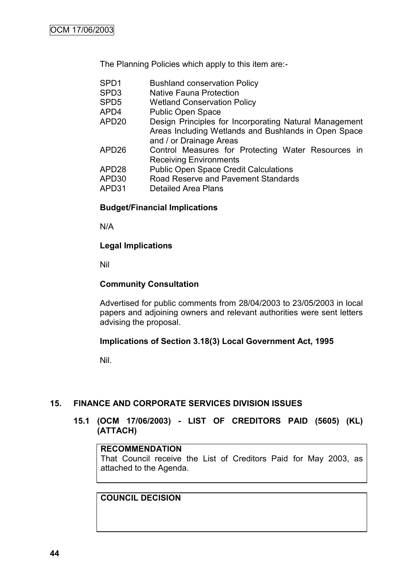The Planning Policies which apply to this item are:-

| <b>Bushland conservation Policy</b>                    |
|--------------------------------------------------------|
| <b>Native Fauna Protection</b>                         |
| <b>Wetland Conservation Policy</b>                     |
| <b>Public Open Space</b>                               |
| Design Principles for Incorporating Natural Management |
| Areas Including Wetlands and Bushlands in Open Space   |
| and / or Drainage Areas                                |
| Control Measures for Protecting Water Resources in     |
| <b>Receiving Environments</b>                          |
| <b>Public Open Space Credit Calculations</b>           |
| Road Reserve and Pavement Standards                    |
| Detailed Area Plans                                    |
|                                                        |

#### **Budget/Financial Implications**

N/A

#### **Legal Implications**

Nil

#### **Community Consultation**

Advertised for public comments from 28/04/2003 to 23/05/2003 in local papers and adjoining owners and relevant authorities were sent letters advising the proposal.

#### **Implications of Section 3.18(3) Local Government Act, 1995**

Nil.

#### **15. FINANCE AND CORPORATE SERVICES DIVISION ISSUES**

## **15.1 (OCM 17/06/2003) - LIST OF CREDITORS PAID (5605) (KL) (ATTACH)**

#### **RECOMMENDATION**

That Council receive the List of Creditors Paid for May 2003, as attached to the Agenda.

## **COUNCIL DECISION**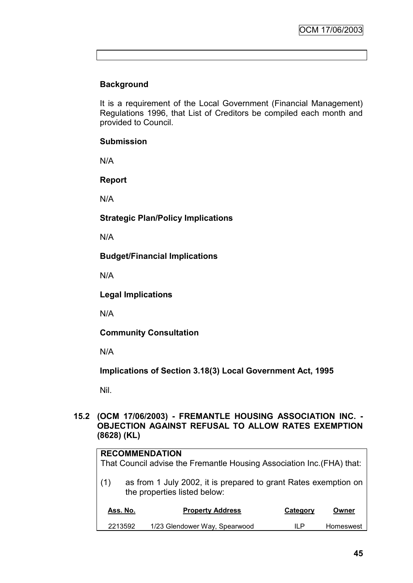# **Background**

It is a requirement of the Local Government (Financial Management) Regulations 1996, that List of Creditors be compiled each month and provided to Council.

## **Submission**

N/A

**Report**

N/A

**Strategic Plan/Policy Implications**

N/A

**Budget/Financial Implications**

N/A

**Legal Implications**

N/A

**Community Consultation**

N/A

**Implications of Section 3.18(3) Local Government Act, 1995**

Nil.

#### **15.2 (OCM 17/06/2003) - FREMANTLE HOUSING ASSOCIATION INC. - OBJECTION AGAINST REFUSAL TO ALLOW RATES EXEMPTION (8628) (KL)**

| <b>RECOMMENDATION</b><br>That Council advise the Fremantle Housing Association Inc. (FHA) that: |                                                                                                 |                               |          |           |  |
|-------------------------------------------------------------------------------------------------|-------------------------------------------------------------------------------------------------|-------------------------------|----------|-----------|--|
| (1)                                                                                             | as from 1 July 2002, it is prepared to grant Rates exemption on<br>the properties listed below: |                               |          |           |  |
|                                                                                                 | Ass. No.                                                                                        | <b>Property Address</b>       | Category | Owner     |  |
|                                                                                                 | 2213592                                                                                         | 1/23 Glendower Way, Spearwood | II P     | Homeswest |  |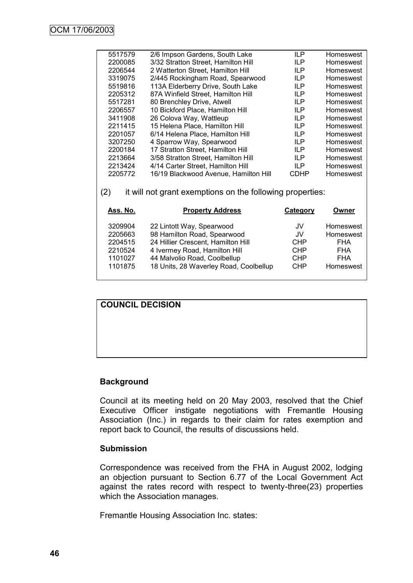| 5517579                                                          | 2/6 Impson Gardens, South Lake        | ILP.       | Homeswest |  |  |  |
|------------------------------------------------------------------|---------------------------------------|------------|-----------|--|--|--|
| 2200085                                                          | 3/32 Stratton Street, Hamilton Hill   | <b>ILP</b> | Homeswest |  |  |  |
| 2206544                                                          | 2 Watterton Street, Hamilton Hill     | ILP        | Homeswest |  |  |  |
| 3319075                                                          | 2/445 Rockingham Road, Spearwood      | ILP        | Homeswest |  |  |  |
| 5519816                                                          | 113A Elderberry Drive, South Lake     | ILP        | Homeswest |  |  |  |
| 2205312                                                          | 87A Winfield Street, Hamilton Hill    | ILP        | Homeswest |  |  |  |
| 5517281                                                          | 80 Brenchley Drive, Atwell            | ILP        | Homeswest |  |  |  |
| 2206557                                                          | 10 Bickford Place, Hamilton Hill      | ILP        | Homeswest |  |  |  |
| 3411908                                                          | 26 Colova Way, Wattleup               | ILP        | Homeswest |  |  |  |
| 2211415                                                          | 15 Helena Place, Hamilton Hill        | ILP        | Homeswest |  |  |  |
| 2201057                                                          | 6/14 Helena Place, Hamilton Hill      | ILP        | Homeswest |  |  |  |
| 3207250                                                          | 4 Sparrow Way, Spearwood              | ILP.       | Homeswest |  |  |  |
| 2200184                                                          | 17 Stratton Street, Hamilton Hill     | ILP        | Homeswest |  |  |  |
| 2213664                                                          | 3/58 Stratton Street, Hamilton Hill   | ILP        | Homeswest |  |  |  |
| 2213424                                                          | 4/14 Carter Street, Hamilton Hill     | ILP.       | Homeswest |  |  |  |
| 2205772                                                          | 16/19 Blackwood Avenue, Hamilton Hill | CDHP       | Homeswest |  |  |  |
|                                                                  |                                       |            |           |  |  |  |
| it will not grant exemptions on the following properties:<br>(2) |                                       |            |           |  |  |  |
|                                                                  |                                       |            |           |  |  |  |

| Ass. No.                                            | <b>Property Address</b>                                                                                                                                         | Category                             | Owner                                                            |
|-----------------------------------------------------|-----------------------------------------------------------------------------------------------------------------------------------------------------------------|--------------------------------------|------------------------------------------------------------------|
| 3209904<br>2205663<br>2204515<br>2210524<br>1101027 | 22 Lintott Way, Spearwood<br>98 Hamilton Road, Spearwood<br>24 Hillier Crescent, Hamilton Hill<br>4 Ivermey Road, Hamilton Hill<br>44 Malvolio Road, Coolbellup | JV<br>JV<br>CHP<br><b>CHP</b><br>CHP | Homeswest<br>Homeswest<br><b>FHA</b><br><b>FHA</b><br><b>FHA</b> |
| 1101875                                             | 18 Units, 28 Waverley Road, Coolbellup                                                                                                                          | <b>CHP</b>                           | Homeswest                                                        |



# **Background**

Council at its meeting held on 20 May 2003, resolved that the Chief Executive Officer instigate negotiations with Fremantle Housing Association (Inc.) in regards to their claim for rates exemption and report back to Council, the results of discussions held.

# **Submission**

Correspondence was received from the FHA in August 2002, lodging an objection pursuant to Section 6.77 of the Local Government Act against the rates record with respect to twenty-three(23) properties which the Association manages.

Fremantle Housing Association Inc. states: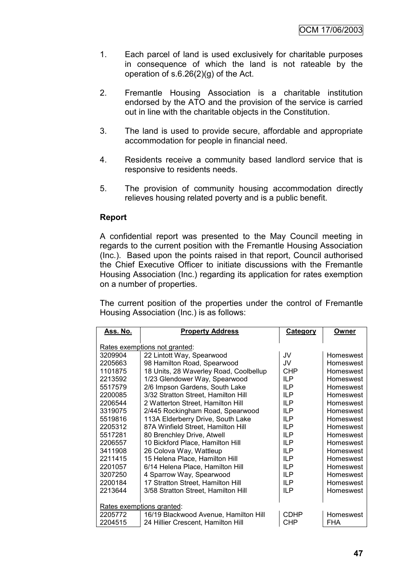- 1. Each parcel of land is used exclusively for charitable purposes in consequence of which the land is not rateable by the operation of s.6.26(2)(g) of the Act.
- 2. Fremantle Housing Association is a charitable institution endorsed by the ATO and the provision of the service is carried out in line with the charitable objects in the Constitution.
- 3. The land is used to provide secure, affordable and appropriate accommodation for people in financial need.
- 4. Residents receive a community based landlord service that is responsive to residents needs.
- 5. The provision of community housing accommodation directly relieves housing related poverty and is a public benefit.

# **Report**

A confidential report was presented to the May Council meeting in regards to the current position with the Fremantle Housing Association (Inc.). Based upon the points raised in that report, Council authorised the Chief Executive Officer to initiate discussions with the Fremantle Housing Association (Inc.) regarding its application for rates exemption on a number of properties.

The current position of the properties under the control of Fremantle Housing Association (Inc.) is as follows:

| Ass. No.                      | <b>Property Address</b>                | <b>Category</b> | Owner     |  |  |  |
|-------------------------------|----------------------------------------|-----------------|-----------|--|--|--|
| Rates exemptions not granted: |                                        |                 |           |  |  |  |
| 3209904                       | 22 Lintott Way, Spearwood              | JV              | Homeswest |  |  |  |
| 2205663                       | 98 Hamilton Road, Spearwood            | JV              | Homeswest |  |  |  |
| 1101875                       | 18 Units, 28 Waverley Road, Coolbellup | CHP             | Homeswest |  |  |  |
| 2213592                       | 1/23 Glendower Way, Spearwood          | <b>ILP</b>      | Homeswest |  |  |  |
| 5517579                       | 2/6 Impson Gardens, South Lake         | IL P            | Homeswest |  |  |  |
| 2200085                       | 3/32 Stratton Street, Hamilton Hill    | IL P            | Homeswest |  |  |  |
| 2206544                       | 2 Watterton Street, Hamilton Hill      | IL P            | Homeswest |  |  |  |
| 3319075                       | 2/445 Rockingham Road, Spearwood       | <b>ILP</b>      | Homeswest |  |  |  |
| 5519816                       | 113A Elderberry Drive, South Lake      | IL P            | Homeswest |  |  |  |
| 2205312                       | 87A Winfield Street, Hamilton Hill     | <b>ILP</b>      | Homeswest |  |  |  |
| 5517281                       | 80 Brenchley Drive, Atwell             | IL P            | Homeswest |  |  |  |
| 2206557                       | 10 Bickford Place, Hamilton Hill       | <b>ILP</b>      | Homeswest |  |  |  |
| 3411908                       | 26 Colova Way, Wattleup                | IL P            | Homeswest |  |  |  |
| 2211415                       | 15 Helena Place, Hamilton Hill         | <b>ILP</b>      | Homeswest |  |  |  |
| 2201057                       | 6/14 Helena Place, Hamilton Hill       | <b>ILP</b>      | Homeswest |  |  |  |
| 3207250                       | 4 Sparrow Way, Spearwood               | IL P            | Homeswest |  |  |  |
| 2200184                       | 17 Stratton Street, Hamilton Hill      | IL P            | Homeswest |  |  |  |
| 2213644                       | 3/58 Stratton Street, Hamilton Hill    | <b>ILP</b>      | Homeswest |  |  |  |
|                               |                                        |                 |           |  |  |  |
| Rates exemptions granted:     |                                        |                 |           |  |  |  |
| 2205772                       | 16/19 Blackwood Avenue, Hamilton Hill  | CDHP            | Homeswest |  |  |  |
| 2204515                       | 24 Hillier Crescent, Hamilton Hill     | CHP             | FHA       |  |  |  |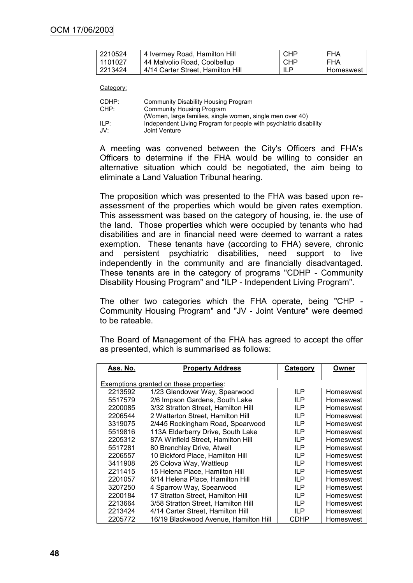| 2210524 | 4 Ivermey Road, Hamilton Hill     | I CHP | FHA        |
|---------|-----------------------------------|-------|------------|
| 1101027 | 44 Malvolio Road, Coolbellup      | I CHP | <b>FHA</b> |
| 2213424 | 4/14 Carter Street. Hamilton Hill | ILP   | Homeswest  |

Category:

| CDHP: | Community Disability Housing Program                              |
|-------|-------------------------------------------------------------------|
| CHP:  | Community Housing Program                                         |
|       | (Women, large families, single women, single men over 40)         |
| II P: | Independent Living Program for people with psychiatric disability |
| JV.   | Joint Venture                                                     |

A meeting was convened between the City's Officers and FHA's Officers to determine if the FHA would be willing to consider an alternative situation which could be negotiated, the aim being to eliminate a Land Valuation Tribunal hearing.

The proposition which was presented to the FHA was based upon reassessment of the properties which would be given rates exemption. This assessment was based on the category of housing, ie. the use of the land. Those properties which were occupied by tenants who had disabilities and are in financial need were deemed to warrant a rates exemption. These tenants have (according to FHA) severe, chronic and persistent psychiatric disabilities, need support to live independently in the community and are financially disadvantaged. These tenants are in the category of programs "CDHP - Community Disability Housing Program" and "ILP - Independent Living Program".

The other two categories which the FHA operate, being "CHP - Community Housing Program" and "JV - Joint Venture" were deemed to be rateable.

The Board of Management of the FHA has agreed to accept the offer as presented, which is summarised as follows:

| Ass. No.                                       | <b>Property Address</b>               | Category   | Owner     |  |  |  |
|------------------------------------------------|---------------------------------------|------------|-----------|--|--|--|
| <b>Exemptions granted on these properties:</b> |                                       |            |           |  |  |  |
| 2213592                                        | 1/23 Glendower Way, Spearwood         | ILP        | Homeswest |  |  |  |
| 5517579                                        | 2/6 Impson Gardens, South Lake        | IL P       | Homeswest |  |  |  |
| 2200085                                        | 3/32 Stratton Street, Hamilton Hill   | IL P       | Homeswest |  |  |  |
| 2206544                                        | 2 Watterton Street, Hamilton Hill     | IL P       | Homeswest |  |  |  |
| 3319075                                        | 2/445 Rockingham Road, Spearwood      | ILP        | Homeswest |  |  |  |
| 5519816                                        | 113A Elderberry Drive, South Lake     | IL P       | Homeswest |  |  |  |
| 2205312                                        | 87A Winfield Street, Hamilton Hill    | IL P       | Homeswest |  |  |  |
| 5517281                                        | 80 Brenchley Drive, Atwell            | IL P       | Homeswest |  |  |  |
| 2206557                                        | 10 Bickford Place, Hamilton Hill      | IL P       | Homeswest |  |  |  |
| 3411908                                        | 26 Colova Way, Wattleup               | IL P       | Homeswest |  |  |  |
| 2211415                                        | 15 Helena Place, Hamilton Hill        | IL P       | Homeswest |  |  |  |
| 2201057                                        | 6/14 Helena Place, Hamilton Hill      | IL P       | Homeswest |  |  |  |
| 3207250                                        | 4 Sparrow Way, Spearwood              | IL P       | Homeswest |  |  |  |
| 2200184                                        | 17 Stratton Street, Hamilton Hill     | II P       | Homeswest |  |  |  |
| 2213664                                        | 3/58 Stratton Street, Hamilton Hill   | IL P       | Homeswest |  |  |  |
| 2213424                                        | 4/14 Carter Street, Hamilton Hill     | <b>ILP</b> | Homeswest |  |  |  |
| 2205772                                        | 16/19 Blackwood Avenue, Hamilton Hill | CDHP       | Homeswest |  |  |  |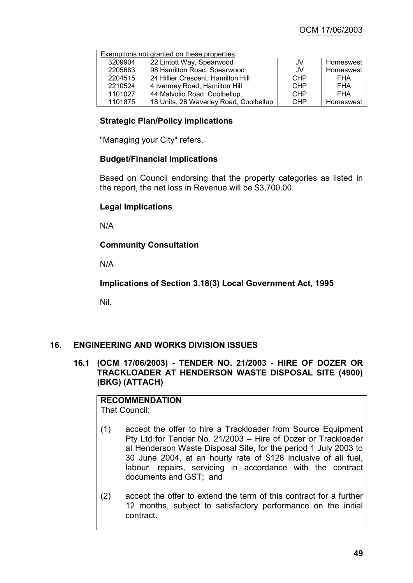| Exemptions not granted on these properties: |                                        |            |            |  |
|---------------------------------------------|----------------------------------------|------------|------------|--|
| 3209904                                     | 22 Lintott Way, Spearwood              | JV.        | Homeswest  |  |
| 2205663                                     | 98 Hamilton Road, Spearwood            | JV.        | Homeswest  |  |
| 2204515                                     | 24 Hillier Crescent, Hamilton Hill     | <b>CHP</b> | <b>FHA</b> |  |
| 2210524                                     | 4 Ivermey Road, Hamilton Hill          | <b>CHP</b> | FHA        |  |
| 1101027                                     | 44 Malvolio Road, Coolbellup           | <b>CHP</b> | FHA        |  |
| 1101875                                     | 18 Units, 28 Waverley Road, Coolbellup | CHP        | Homeswest  |  |

# **Strategic Plan/Policy Implications**

"Managing your City" refers.

## **Budget/Financial Implications**

Based on Council endorsing that the property categories as listed in the report, the net loss in Revenue will be \$3,700.00.

## **Legal Implications**

N/A

# **Community Consultation**

N/A

**Implications of Section 3.18(3) Local Government Act, 1995**

Nil.

# **16. ENGINEERING AND WORKS DIVISION ISSUES**

## **16.1 (OCM 17/06/2003) - TENDER NO. 21/2003 - HIRE OF DOZER OR TRACKLOADER AT HENDERSON WASTE DISPOSAL SITE (4900) (BKG) (ATTACH)**

#### **RECOMMENDATION** That Council:

- (1) accept the offer to hire a Trackloader from Source Equipment Pty Ltd for Tender No. 21/2003 – Hire of Dozer or Trackloader at Henderson Waste Disposal Site, for the period 1 July 2003 to 30 June 2004, at an hourly rate of \$128 inclusive of all fuel, labour, repairs, servicing in accordance with the contract documents and GST; and
- (2) accept the offer to extend the term of this contract for a further 12 months, subject to satisfactory performance on the initial contract.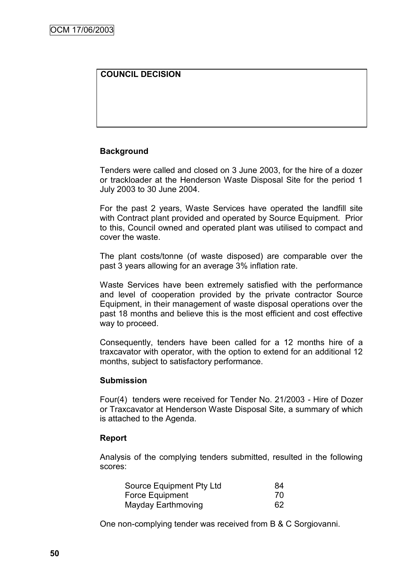# **COUNCIL DECISION**

#### **Background**

Tenders were called and closed on 3 June 2003, for the hire of a dozer or trackloader at the Henderson Waste Disposal Site for the period 1 July 2003 to 30 June 2004.

For the past 2 years, Waste Services have operated the landfill site with Contract plant provided and operated by Source Equipment. Prior to this, Council owned and operated plant was utilised to compact and cover the waste.

The plant costs/tonne (of waste disposed) are comparable over the past 3 years allowing for an average 3% inflation rate.

Waste Services have been extremely satisfied with the performance and level of cooperation provided by the private contractor Source Equipment, in their management of waste disposal operations over the past 18 months and believe this is the most efficient and cost effective way to proceed.

Consequently, tenders have been called for a 12 months hire of a traxcavator with operator, with the option to extend for an additional 12 months, subject to satisfactory performance.

#### **Submission**

Four(4) tenders were received for Tender No. 21/2003 - Hire of Dozer or Traxcavator at Henderson Waste Disposal Site, a summary of which is attached to the Agenda.

#### **Report**

Analysis of the complying tenders submitted, resulted in the following scores:

| Source Equipment Pty Ltd | 84 |
|--------------------------|----|
| Force Equipment          | 70 |
| Mayday Earthmoving       | 62 |

One non-complying tender was received from B & C Sorgiovanni.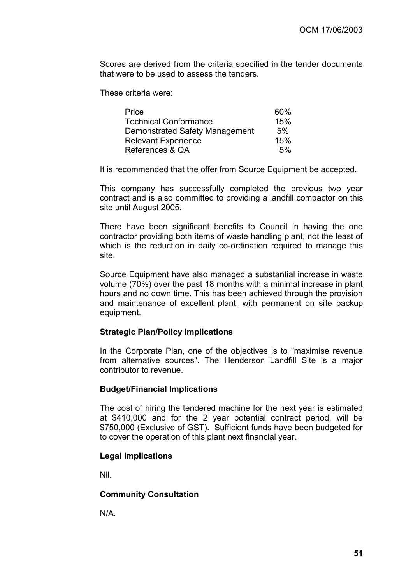Scores are derived from the criteria specified in the tender documents that were to be used to assess the tenders.

These criteria were:

| Price                          | 60% |
|--------------------------------|-----|
| <b>Technical Conformance</b>   | 15% |
| Demonstrated Safety Management | 5%  |
| <b>Relevant Experience</b>     | 15% |
| References & QA                | .5% |

It is recommended that the offer from Source Equipment be accepted.

This company has successfully completed the previous two year contract and is also committed to providing a landfill compactor on this site until August 2005.

There have been significant benefits to Council in having the one contractor providing both items of waste handling plant, not the least of which is the reduction in daily co-ordination required to manage this site.

Source Equipment have also managed a substantial increase in waste volume (70%) over the past 18 months with a minimal increase in plant hours and no down time. This has been achieved through the provision and maintenance of excellent plant, with permanent on site backup equipment.

#### **Strategic Plan/Policy Implications**

In the Corporate Plan, one of the objectives is to "maximise revenue from alternative sources". The Henderson Landfill Site is a major contributor to revenue.

#### **Budget/Financial Implications**

The cost of hiring the tendered machine for the next year is estimated at \$410,000 and for the 2 year potential contract period, will be \$750,000 (Exclusive of GST). Sufficient funds have been budgeted for to cover the operation of this plant next financial year.

#### **Legal Implications**

Nil.

#### **Community Consultation**

N/A.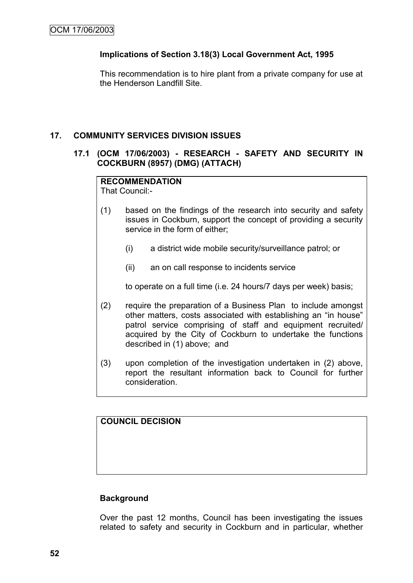## **Implications of Section 3.18(3) Local Government Act, 1995**

This recommendation is to hire plant from a private company for use at the Henderson Landfill Site.

## **17. COMMUNITY SERVICES DIVISION ISSUES**

## **17.1 (OCM 17/06/2003) - RESEARCH - SAFETY AND SECURITY IN COCKBURN (8957) (DMG) (ATTACH)**

# **RECOMMENDATION**

That Council:-

- (1) based on the findings of the research into security and safety issues in Cockburn, support the concept of providing a security service in the form of either;
	- (i) a district wide mobile security/surveillance patrol; or
	- (ii) an on call response to incidents service

to operate on a full time (i.e. 24 hours/7 days per week) basis;

- (2) require the preparation of a Business Plan to include amongst other matters, costs associated with establishing an "in house" patrol service comprising of staff and equipment recruited/ acquired by the City of Cockburn to undertake the functions described in (1) above; and
- (3) upon completion of the investigation undertaken in (2) above, report the resultant information back to Council for further consideration.

## **COUNCIL DECISION**

#### **Background**

Over the past 12 months, Council has been investigating the issues related to safety and security in Cockburn and in particular, whether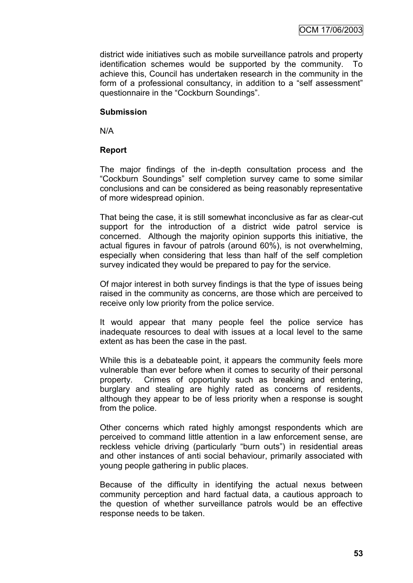district wide initiatives such as mobile surveillance patrols and property identification schemes would be supported by the community. achieve this, Council has undertaken research in the community in the form of a professional consultancy, in addition to a "self assessment" questionnaire in the "Cockburn Soundings".

#### **Submission**

N/A

#### **Report**

The major findings of the in-depth consultation process and the "Cockburn Soundings" self completion survey came to some similar conclusions and can be considered as being reasonably representative of more widespread opinion.

That being the case, it is still somewhat inconclusive as far as clear-cut support for the introduction of a district wide patrol service is concerned. Although the majority opinion supports this initiative, the actual figures in favour of patrols (around 60%), is not overwhelming, especially when considering that less than half of the self completion survey indicated they would be prepared to pay for the service.

Of major interest in both survey findings is that the type of issues being raised in the community as concerns, are those which are perceived to receive only low priority from the police service.

It would appear that many people feel the police service has inadequate resources to deal with issues at a local level to the same extent as has been the case in the past.

While this is a debateable point, it appears the community feels more vulnerable than ever before when it comes to security of their personal property. Crimes of opportunity such as breaking and entering, burglary and stealing are highly rated as concerns of residents, although they appear to be of less priority when a response is sought from the police.

Other concerns which rated highly amongst respondents which are perceived to command little attention in a law enforcement sense, are reckless vehicle driving (particularly "burn outs") in residential areas and other instances of anti social behaviour, primarily associated with young people gathering in public places.

Because of the difficulty in identifying the actual nexus between community perception and hard factual data, a cautious approach to the question of whether surveillance patrols would be an effective response needs to be taken.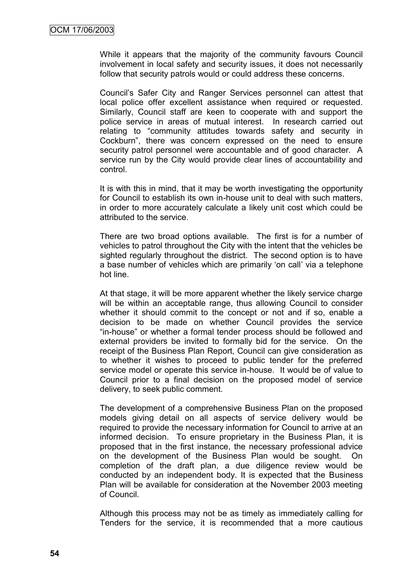While it appears that the majority of the community favours Council involvement in local safety and security issues, it does not necessarily follow that security patrols would or could address these concerns.

Council"s Safer City and Ranger Services personnel can attest that local police offer excellent assistance when required or requested. Similarly, Council staff are keen to cooperate with and support the police service in areas of mutual interest. In research carried out relating to "community attitudes towards safety and security in Cockburn", there was concern expressed on the need to ensure security patrol personnel were accountable and of good character. A service run by the City would provide clear lines of accountability and control.

It is with this in mind, that it may be worth investigating the opportunity for Council to establish its own in-house unit to deal with such matters, in order to more accurately calculate a likely unit cost which could be attributed to the service.

There are two broad options available. The first is for a number of vehicles to patrol throughout the City with the intent that the vehicles be sighted regularly throughout the district. The second option is to have a base number of vehicles which are primarily "on call" via a telephone hot line.

At that stage, it will be more apparent whether the likely service charge will be within an acceptable range, thus allowing Council to consider whether it should commit to the concept or not and if so, enable a decision to be made on whether Council provides the service "in-house" or whether a formal tender process should be followed and external providers be invited to formally bid for the service. On the receipt of the Business Plan Report, Council can give consideration as to whether it wishes to proceed to public tender for the preferred service model or operate this service in-house. It would be of value to Council prior to a final decision on the proposed model of service delivery, to seek public comment.

The development of a comprehensive Business Plan on the proposed models giving detail on all aspects of service delivery would be required to provide the necessary information for Council to arrive at an informed decision. To ensure proprietary in the Business Plan, it is proposed that in the first instance, the necessary professional advice on the development of the Business Plan would be sought. On completion of the draft plan, a due diligence review would be conducted by an independent body. It is expected that the Business Plan will be available for consideration at the November 2003 meeting of Council.

Although this process may not be as timely as immediately calling for Tenders for the service, it is recommended that a more cautious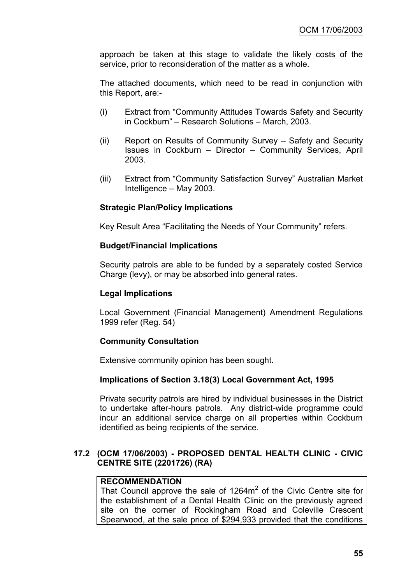approach be taken at this stage to validate the likely costs of the service, prior to reconsideration of the matter as a whole.

The attached documents, which need to be read in conjunction with this Report, are:-

- (i) Extract from "Community Attitudes Towards Safety and Security in Cockburn" – Research Solutions – March, 2003.
- (ii) Report on Results of Community Survey Safety and Security Issues in Cockburn – Director – Community Services, April 2003.
- (iii) Extract from "Community Satisfaction Survey" Australian Market Intelligence – May 2003.

#### **Strategic Plan/Policy Implications**

Key Result Area "Facilitating the Needs of Your Community" refers.

#### **Budget/Financial Implications**

Security patrols are able to be funded by a separately costed Service Charge (levy), or may be absorbed into general rates.

#### **Legal Implications**

Local Government (Financial Management) Amendment Regulations 1999 refer (Reg. 54)

#### **Community Consultation**

Extensive community opinion has been sought.

#### **Implications of Section 3.18(3) Local Government Act, 1995**

Private security patrols are hired by individual businesses in the District to undertake after-hours patrols. Any district-wide programme could incur an additional service charge on all properties within Cockburn identified as being recipients of the service.

#### **17.2 (OCM 17/06/2003) - PROPOSED DENTAL HEALTH CLINIC - CIVIC CENTRE SITE (2201726) (RA)**

#### **RECOMMENDATION**

That Council approve the sale of  $1264m^2$  of the Civic Centre site for the establishment of a Dental Health Clinic on the previously agreed site on the corner of Rockingham Road and Coleville Crescent Spearwood, at the sale price of \$294,933 provided that the conditions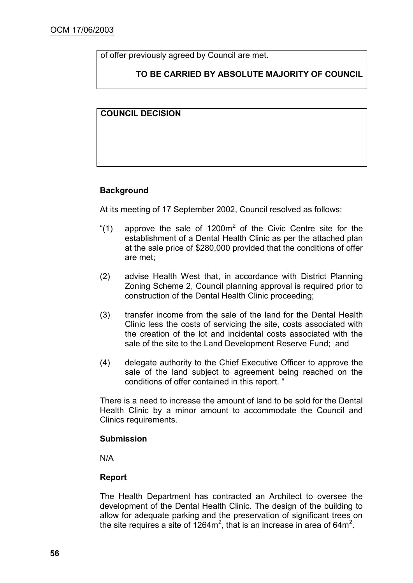of offer previously agreed by Council are met.

**TO BE CARRIED BY ABSOLUTE MAJORITY OF COUNCIL**

## **COUNCIL DECISION**

#### **Background**

At its meeting of 17 September 2002, Council resolved as follows:

- "(1) approve the sale of  $1200m^2$  of the Civic Centre site for the establishment of a Dental Health Clinic as per the attached plan at the sale price of \$280,000 provided that the conditions of offer are met;
- (2) advise Health West that, in accordance with District Planning Zoning Scheme 2, Council planning approval is required prior to construction of the Dental Health Clinic proceeding;
- (3) transfer income from the sale of the land for the Dental Health Clinic less the costs of servicing the site, costs associated with the creation of the lot and incidental costs associated with the sale of the site to the Land Development Reserve Fund; and
- (4) delegate authority to the Chief Executive Officer to approve the sale of the land subject to agreement being reached on the conditions of offer contained in this report. "

There is a need to increase the amount of land to be sold for the Dental Health Clinic by a minor amount to accommodate the Council and Clinics requirements.

#### **Submission**

N/A

#### **Report**

The Health Department has contracted an Architect to oversee the development of the Dental Health Clinic. The design of the building to allow for adequate parking and the preservation of significant trees on the site requires a site of  $1264m^2$ , that is an increase in area of 64m<sup>2</sup>.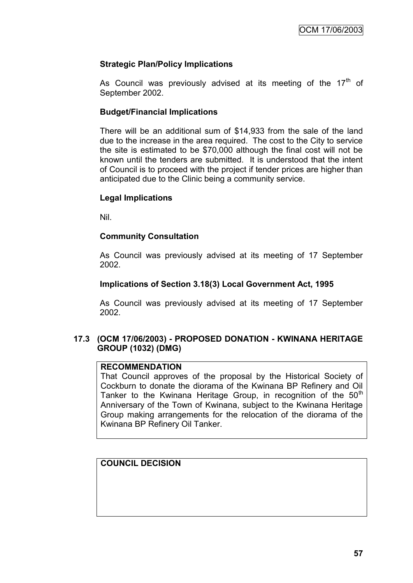## **Strategic Plan/Policy Implications**

As Council was previously advised at its meeting of the  $17<sup>th</sup>$  of September 2002.

## **Budget/Financial Implications**

There will be an additional sum of \$14,933 from the sale of the land due to the increase in the area required. The cost to the City to service the site is estimated to be \$70,000 although the final cost will not be known until the tenders are submitted. It is understood that the intent of Council is to proceed with the project if tender prices are higher than anticipated due to the Clinic being a community service.

#### **Legal Implications**

Nil.

## **Community Consultation**

As Council was previously advised at its meeting of 17 September 2002.

#### **Implications of Section 3.18(3) Local Government Act, 1995**

As Council was previously advised at its meeting of 17 September 2002.

## **17.3 (OCM 17/06/2003) - PROPOSED DONATION - KWINANA HERITAGE GROUP (1032) (DMG)**

#### **RECOMMENDATION**

That Council approves of the proposal by the Historical Society of Cockburn to donate the diorama of the Kwinana BP Refinery and Oil Tanker to the Kwinana Heritage Group, in recognition of the  $50<sup>th</sup>$ Anniversary of the Town of Kwinana, subject to the Kwinana Heritage Group making arrangements for the relocation of the diorama of the Kwinana BP Refinery Oil Tanker.

## **COUNCIL DECISION**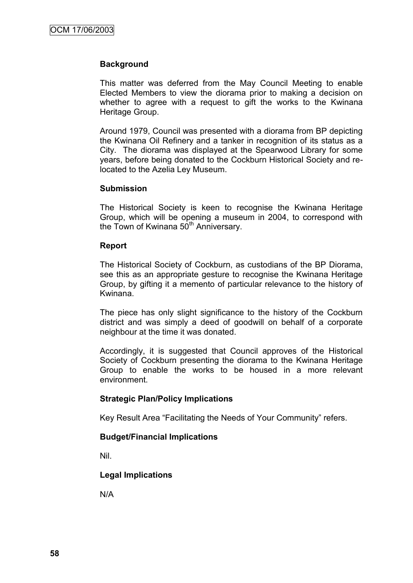#### **Background**

This matter was deferred from the May Council Meeting to enable Elected Members to view the diorama prior to making a decision on whether to agree with a request to gift the works to the Kwinana Heritage Group.

Around 1979, Council was presented with a diorama from BP depicting the Kwinana Oil Refinery and a tanker in recognition of its status as a City. The diorama was displayed at the Spearwood Library for some years, before being donated to the Cockburn Historical Society and relocated to the Azelia Ley Museum.

#### **Submission**

The Historical Society is keen to recognise the Kwinana Heritage Group, which will be opening a museum in 2004, to correspond with the Town of Kwinana 50<sup>th</sup> Anniversary.

#### **Report**

The Historical Society of Cockburn, as custodians of the BP Diorama, see this as an appropriate gesture to recognise the Kwinana Heritage Group, by gifting it a memento of particular relevance to the history of Kwinana.

The piece has only slight significance to the history of the Cockburn district and was simply a deed of goodwill on behalf of a corporate neighbour at the time it was donated.

Accordingly, it is suggested that Council approves of the Historical Society of Cockburn presenting the diorama to the Kwinana Heritage Group to enable the works to be housed in a more relevant environment.

#### **Strategic Plan/Policy Implications**

Key Result Area "Facilitating the Needs of Your Community" refers.

#### **Budget/Financial Implications**

Nil.

#### **Legal Implications**

N/A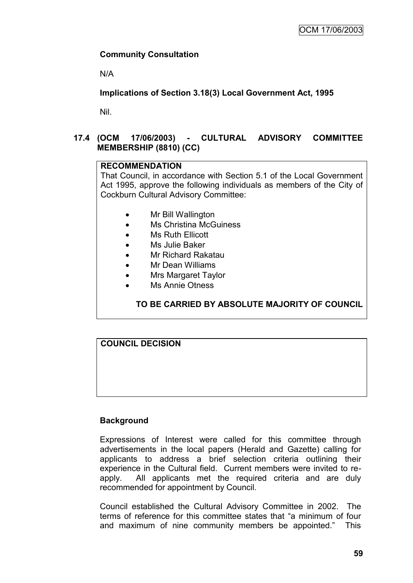## **Community Consultation**

N/A

## **Implications of Section 3.18(3) Local Government Act, 1995**

Nil.

## **17.4 (OCM 17/06/2003) - CULTURAL ADVISORY COMMITTEE MEMBERSHIP (8810) (CC)**

## **RECOMMENDATION**

That Council, in accordance with Section 5.1 of the Local Government Act 1995, approve the following individuals as members of the City of Cockburn Cultural Advisory Committee:

- Mr Bill Wallington
- Ms Christina McGuiness
- Ms Ruth Ellicott
- Ms Julie Baker
- Mr Richard Rakatau
- Mr Dean Williams
- Mrs Margaret Taylor
- Ms Annie Otness

**TO BE CARRIED BY ABSOLUTE MAJORITY OF COUNCIL**

#### **COUNCIL DECISION**

#### **Background**

Expressions of Interest were called for this committee through advertisements in the local papers (Herald and Gazette) calling for applicants to address a brief selection criteria outlining their experience in the Cultural field. Current members were invited to reapply. All applicants met the required criteria and are duly recommended for appointment by Council.

Council established the Cultural Advisory Committee in 2002. The terms of reference for this committee states that "a minimum of four and maximum of nine community members be appointed." This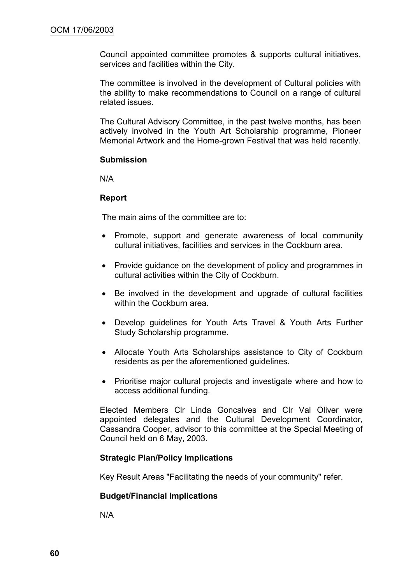Council appointed committee promotes & supports cultural initiatives, services and facilities within the City.

The committee is involved in the development of Cultural policies with the ability to make recommendations to Council on a range of cultural related issues.

The Cultural Advisory Committee, in the past twelve months, has been actively involved in the Youth Art Scholarship programme, Pioneer Memorial Artwork and the Home-grown Festival that was held recently.

#### **Submission**

N/A

#### **Report**

The main aims of the committee are to:

- Promote, support and generate awareness of local community cultural initiatives, facilities and services in the Cockburn area.
- Provide guidance on the development of policy and programmes in cultural activities within the City of Cockburn.
- Be involved in the development and upgrade of cultural facilities within the Cockburn area.
- Develop guidelines for Youth Arts Travel & Youth Arts Further Study Scholarship programme.
- Allocate Youth Arts Scholarships assistance to City of Cockburn residents as per the aforementioned guidelines.
- Prioritise major cultural projects and investigate where and how to access additional funding.

Elected Members Clr Linda Goncalves and Clr Val Oliver were appointed delegates and the Cultural Development Coordinator, Cassandra Cooper, advisor to this committee at the Special Meeting of Council held on 6 May, 2003.

#### **Strategic Plan/Policy Implications**

Key Result Areas "Facilitating the needs of your community" refer.

#### **Budget/Financial Implications**

N/A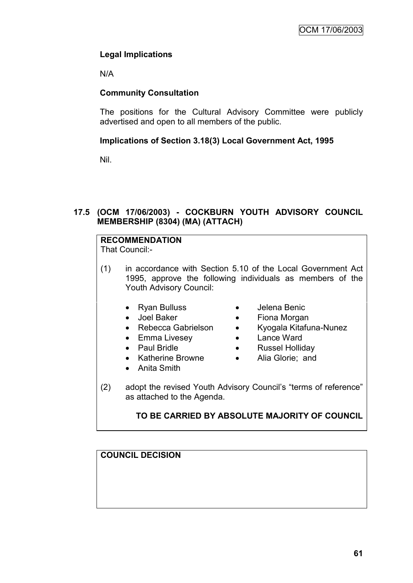# **Legal Implications**

N/A

# **Community Consultation**

The positions for the Cultural Advisory Committee were publicly advertised and open to all members of the public.

## **Implications of Section 3.18(3) Local Government Act, 1995**

Nil.

# **17.5 (OCM 17/06/2003) - COCKBURN YOUTH ADVISORY COUNCIL MEMBERSHIP (8304) (MA) (ATTACH)**

# **RECOMMENDATION**

That Council:-

- (1) in accordance with Section 5.10 of the Local Government Act 1995, approve the following individuals as members of the Youth Advisory Council:
	- Ryan Bulluss
	- Joel Baker
	- Rebecca Gabrielson
	- Emma Livesey
	- Paul Bridle
	- Katherine Browne
	- Anita Smith
- Jelena Benic
- Fiona Morgan
- Kyogala Kitafuna-Nunez
- Lance Ward
- **•** Russel Holliday
- Alia Glorie; and
- (2) adopt the revised Youth Advisory Council"s "terms of reference" as attached to the Agenda.

# **TO BE CARRIED BY ABSOLUTE MAJORITY OF COUNCIL**

## **COUNCIL DECISION**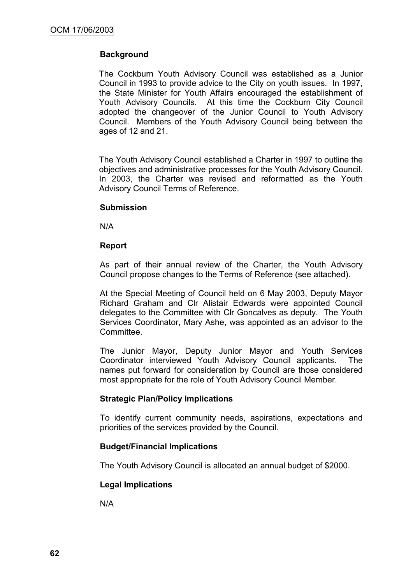## **Background**

The Cockburn Youth Advisory Council was established as a Junior Council in 1993 to provide advice to the City on youth issues. In 1997, the State Minister for Youth Affairs encouraged the establishment of Youth Advisory Councils. At this time the Cockburn City Council adopted the changeover of the Junior Council to Youth Advisory Council. Members of the Youth Advisory Council being between the ages of 12 and 21.

The Youth Advisory Council established a Charter in 1997 to outline the objectives and administrative processes for the Youth Advisory Council. In 2003, the Charter was revised and reformatted as the Youth Advisory Council Terms of Reference.

#### **Submission**

N/A

#### **Report**

As part of their annual review of the Charter, the Youth Advisory Council propose changes to the Terms of Reference (see attached).

At the Special Meeting of Council held on 6 May 2003, Deputy Mayor Richard Graham and Clr Alistair Edwards were appointed Council delegates to the Committee with Clr Goncalves as deputy. The Youth Services Coordinator, Mary Ashe, was appointed as an advisor to the Committee.

The Junior Mayor, Deputy Junior Mayor and Youth Services Coordinator interviewed Youth Advisory Council applicants. The names put forward for consideration by Council are those considered most appropriate for the role of Youth Advisory Council Member.

#### **Strategic Plan/Policy Implications**

To identify current community needs, aspirations, expectations and priorities of the services provided by the Council.

#### **Budget/Financial Implications**

The Youth Advisory Council is allocated an annual budget of \$2000.

#### **Legal Implications**

N/A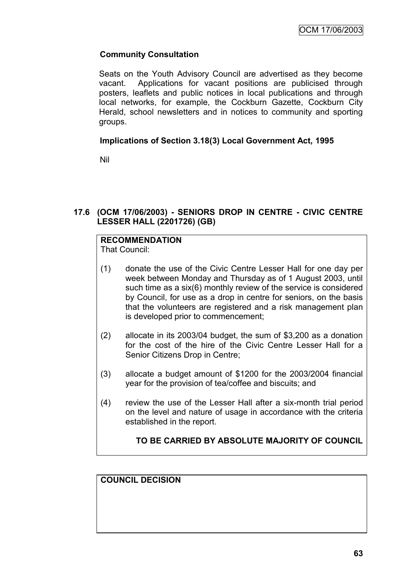## **Community Consultation**

Seats on the Youth Advisory Council are advertised as they become vacant. Applications for vacant positions are publicised through posters, leaflets and public notices in local publications and through local networks, for example, the Cockburn Gazette, Cockburn City Herald, school newsletters and in notices to community and sporting groups.

## **Implications of Section 3.18(3) Local Government Act, 1995**

Nil

## **17.6 (OCM 17/06/2003) - SENIORS DROP IN CENTRE - CIVIC CENTRE LESSER HALL (2201726) (GB)**

# **RECOMMENDATION**

That Council:

- (1) donate the use of the Civic Centre Lesser Hall for one day per week between Monday and Thursday as of 1 August 2003, until such time as a six(6) monthly review of the service is considered by Council, for use as a drop in centre for seniors, on the basis that the volunteers are registered and a risk management plan is developed prior to commencement;
- (2) allocate in its 2003/04 budget, the sum of \$3,200 as a donation for the cost of the hire of the Civic Centre Lesser Hall for a Senior Citizens Drop in Centre;
- (3) allocate a budget amount of \$1200 for the 2003/2004 financial year for the provision of tea/coffee and biscuits; and
- (4) review the use of the Lesser Hall after a six-month trial period on the level and nature of usage in accordance with the criteria established in the report.

# **TO BE CARRIED BY ABSOLUTE MAJORITY OF COUNCIL**

#### **COUNCIL DECISION**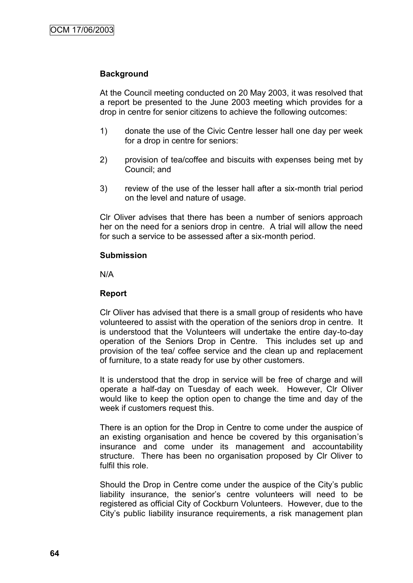## **Background**

At the Council meeting conducted on 20 May 2003, it was resolved that a report be presented to the June 2003 meeting which provides for a drop in centre for senior citizens to achieve the following outcomes:

- 1) donate the use of the Civic Centre lesser hall one day per week for a drop in centre for seniors:
- 2) provision of tea/coffee and biscuits with expenses being met by Council; and
- 3) review of the use of the lesser hall after a six-month trial period on the level and nature of usage.

Clr Oliver advises that there has been a number of seniors approach her on the need for a seniors drop in centre. A trial will allow the need for such a service to be assessed after a six-month period.

#### **Submission**

N/A

#### **Report**

Clr Oliver has advised that there is a small group of residents who have volunteered to assist with the operation of the seniors drop in centre. It is understood that the Volunteers will undertake the entire day-to-day operation of the Seniors Drop in Centre. This includes set up and provision of the tea/ coffee service and the clean up and replacement of furniture, to a state ready for use by other customers.

It is understood that the drop in service will be free of charge and will operate a half-day on Tuesday of each week. However, Clr Oliver would like to keep the option open to change the time and day of the week if customers request this.

There is an option for the Drop in Centre to come under the auspice of an existing organisation and hence be covered by this organisation"s insurance and come under its management and accountability structure. There has been no organisation proposed by Clr Oliver to fulfil this role.

Should the Drop in Centre come under the auspice of the City"s public liability insurance, the senior's centre volunteers will need to be registered as official City of Cockburn Volunteers. However, due to the City"s public liability insurance requirements, a risk management plan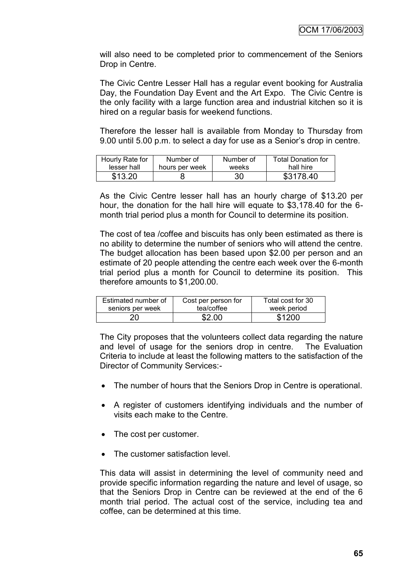will also need to be completed prior to commencement of the Seniors Drop in Centre.

The Civic Centre Lesser Hall has a regular event booking for Australia Day, the Foundation Day Event and the Art Expo. The Civic Centre is the only facility with a large function area and industrial kitchen so it is hired on a regular basis for weekend functions.

Therefore the lesser hall is available from Monday to Thursday from 9.00 until 5.00 p.m. to select a day for use as a Senior"s drop in centre.

| Hourly Rate for | Number of      | Number of | <b>Total Donation for</b> |
|-----------------|----------------|-----------|---------------------------|
| lesser hall     | hours per week | weeks     | hall hire                 |
| \$13.20         |                | 30        | \$3178.40                 |

As the Civic Centre lesser hall has an hourly charge of \$13.20 per hour, the donation for the hall hire will equate to \$3,178.40 for the 6 month trial period plus a month for Council to determine its position.

The cost of tea /coffee and biscuits has only been estimated as there is no ability to determine the number of seniors who will attend the centre. The budget allocation has been based upon \$2.00 per person and an estimate of 20 people attending the centre each week over the 6-month trial period plus a month for Council to determine its position. This therefore amounts to \$1,200.00.

| Estimated number of | Cost per person for | Total cost for 30 |
|---------------------|---------------------|-------------------|
| seniors per week    | tea/coffee          | week period       |
| 20                  | \$2.00              | \$1200            |

The City proposes that the volunteers collect data regarding the nature and level of usage for the seniors drop in centre. The Evaluation Criteria to include at least the following matters to the satisfaction of the Director of Community Services:-

- The number of hours that the Seniors Drop in Centre is operational.
- A register of customers identifying individuals and the number of visits each make to the Centre.
- The cost per customer.
- The customer satisfaction level.

This data will assist in determining the level of community need and provide specific information regarding the nature and level of usage, so that the Seniors Drop in Centre can be reviewed at the end of the 6 month trial period. The actual cost of the service, including tea and coffee, can be determined at this time.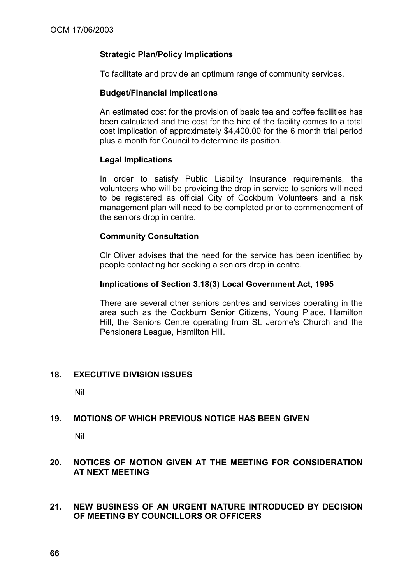## **Strategic Plan/Policy Implications**

To facilitate and provide an optimum range of community services.

#### **Budget/Financial Implications**

An estimated cost for the provision of basic tea and coffee facilities has been calculated and the cost for the hire of the facility comes to a total cost implication of approximately \$4,400.00 for the 6 month trial period plus a month for Council to determine its position.

#### **Legal Implications**

In order to satisfy Public Liability Insurance requirements, the volunteers who will be providing the drop in service to seniors will need to be registered as official City of Cockburn Volunteers and a risk management plan will need to be completed prior to commencement of the seniors drop in centre.

#### **Community Consultation**

Clr Oliver advises that the need for the service has been identified by people contacting her seeking a seniors drop in centre.

#### **Implications of Section 3.18(3) Local Government Act, 1995**

There are several other seniors centres and services operating in the area such as the Cockburn Senior Citizens, Young Place, Hamilton Hill, the Seniors Centre operating from St. Jerome's Church and the Pensioners League, Hamilton Hill.

#### **18. EXECUTIVE DIVISION ISSUES**

Nil

# **19. MOTIONS OF WHICH PREVIOUS NOTICE HAS BEEN GIVEN**

Nil

## **20. NOTICES OF MOTION GIVEN AT THE MEETING FOR CONSIDERATION AT NEXT MEETING**

**21. NEW BUSINESS OF AN URGENT NATURE INTRODUCED BY DECISION OF MEETING BY COUNCILLORS OR OFFICERS**